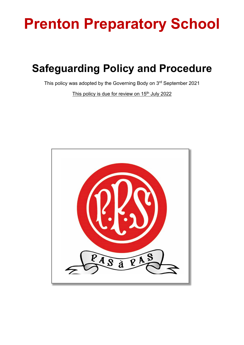# **Prenton Preparatory School**

# **Safeguarding Policy and Procedure**

This policy was adopted by the Governing Body on 3rd September 2021

This policy is due for review on 15<sup>th</sup> July 2022

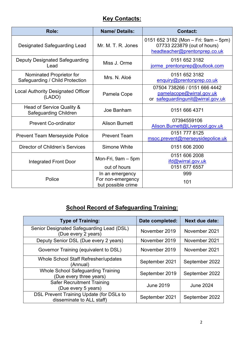# **Key Contacts:**

| Role:                                                       | <b>Name/Details:</b>                                       | <b>Contact:</b>                                                                                      |
|-------------------------------------------------------------|------------------------------------------------------------|------------------------------------------------------------------------------------------------------|
| Designated Safeguarding Lead                                | Mr. M. T. R. Jones                                         | 0151 652 3182 (Mon - Fri: 9am - 5pm)<br>07733 223879 (out of hours)<br>headteacher@prentonprep.co.uk |
| <b>Deputy Designated Safeguarding</b><br>Lead               | Miss J. Orme                                               | 0151 652 3182<br>jorme prentonprep@outlook.com                                                       |
| Nominated Proprietor for<br>Safeguarding / Child Protection | Mrs. N. Aloé                                               | 0151 652 3182<br>enquiry@prentonprep.co.uk                                                           |
| <b>Local Authority Designated Officer</b><br>(LADO)         | Pamela Cope                                                | 07504 738266 / 0151 666 4442<br>pamelacope@wirral.gov.uk<br>or safeguardingunit@wirral.gov.uk        |
| Head of Service Quality &<br>Safeguarding Children          | Joe Banham                                                 | 0151 666 4371                                                                                        |
| <b>Prevent Co-ordinator</b>                                 | <b>Alison Burnett</b>                                      | 07394559106<br>Alison.Burnett@Liverpool.gov.uk                                                       |
| Prevent Team Merseyside Police                              | <b>Prevent Team</b>                                        | 0151 777 8125<br>msoc.prevent@merseysidepolice.uk                                                    |
| Director of Children's Services                             | Simone White                                               | 0151 606 2000                                                                                        |
| <b>Integrated Front Door</b>                                | Mon-Fri, 9am - 5pm<br>out of hours                         | 0151 606 2008<br>ifd@wirral.gov.uk<br>0151 677 6557                                                  |
| Police                                                      | In an emergency<br>For non-emergency<br>but possible crime | 999<br>101                                                                                           |

# **School Record of Safeguarding Training:**

| <b>Type of Training:</b>                                              | Date completed:  | <b>Next due date:</b> |
|-----------------------------------------------------------------------|------------------|-----------------------|
| Senior Designated Safeguarding Lead (DSL)<br>(Due every 2 years)      | November 2019    | November 2021         |
| Deputy Senior DSL (Due every 2 years)                                 | November 2019    | November 2021         |
| Governor Training (equivalent to DSL)                                 | November 2019    | November 2021         |
| <b>Whole School Staff Refresher/updates</b><br>(Annual)               | September 2021   | September 2022        |
| <b>Whole School Safeguarding Training</b><br>(Due every three years)  | September 2019   | September 2022        |
| <b>Safer Recruitment Training</b><br>(Due every 5 years)              | <b>June 2019</b> | <b>June 2024</b>      |
| DSL Prevent Training Update (for DSLs to<br>disseminate to ALL staff) | September 2021   | September 2022        |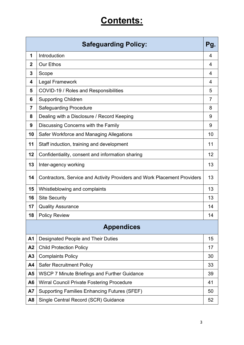# **Contents:**

| <b>Safeguarding Policy:</b><br>Pg. |                                                                          |                |  |
|------------------------------------|--------------------------------------------------------------------------|----------------|--|
| 1                                  | Introduction                                                             | 4              |  |
| $\overline{2}$                     | <b>Our Ethos</b>                                                         | 4              |  |
| 3                                  | Scope                                                                    | 4              |  |
| 4                                  | Legal Framework                                                          | 4              |  |
| 5                                  | COVID-19 / Roles and Responsibilities                                    | 5              |  |
| 6                                  | <b>Supporting Children</b>                                               | $\overline{7}$ |  |
| $\overline{7}$                     | <b>Safeguarding Procedure</b>                                            | 8              |  |
| 8                                  | Dealing with a Disclosure / Record Keeping                               | 9              |  |
| 9                                  | Discussing Concerns with the Family                                      | 9              |  |
| 10                                 | Safer Workforce and Managing Allegations                                 | 10             |  |
| 11                                 | Staff induction, training and development                                | 11             |  |
| 12                                 | Confidentiality, consent and information sharing                         | 12             |  |
| 13                                 | Inter-agency working                                                     | 13             |  |
| 14                                 | Contractors, Service and Activity Providers and Work Placement Providers | 13             |  |
| 15                                 | Whistleblowing and complaints                                            | 13             |  |
| 16                                 | <b>Site Security</b>                                                     | 13             |  |
| 17                                 | <b>Quality Assurance</b>                                                 | 14             |  |
| 18                                 | <b>Policy Review</b>                                                     | 14             |  |
| <b>Appendices</b>                  |                                                                          |                |  |
| A <sub>1</sub>                     | <b>Designated People and Their Duties</b>                                | 15             |  |
| A2                                 | <b>Child Protection Policy</b>                                           | 17             |  |
| A3                                 | <b>Complaints Policy</b>                                                 | 30             |  |
| A4                                 | <b>Safer Recruitment Policy</b>                                          | 33             |  |
| A <sub>5</sub>                     | <b>WSCP 7 Minute Briefings and Further Guidance</b>                      | 39             |  |
| A <sub>6</sub>                     | <b>Wirral Council Private Fostering Procedure</b>                        | 41             |  |
| <b>A7</b>                          | <b>Supporting Families Enhancing Futures (SFEF)</b>                      | 50             |  |
| A <sub>8</sub>                     | Single Central Record (SCR) Guidance                                     | 52             |  |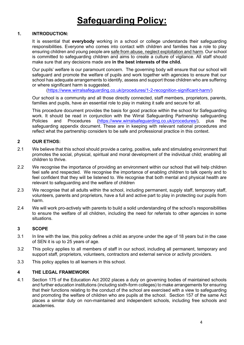# **Safeguarding Policy:**

# **1. INTRODUCTION:**

It is essential that **everybody** working in a school or college understands their safeguarding responsibilities. Everyone who comes into contact with children and families has a role to play ensuring children and young people are safe from abuse, neglect exploitation and harm. Our school is committed to safeguarding children and aims to create a culture of vigilance. All staff should make sure that any decisions made are **in the best interests of the child.**

Our pupils' welfare is our paramount concern. The governing body will ensure that our school will safeguard and promote the welfare of pupils and work together with agencies to ensure that our school has adequate arrangements to identify, assess and support those children who are suffering or where significant harm is suggested.

[\(https://www.wirralsafeguarding.co.uk/procedures/1-2-recognition-significant-harm/\)](https://www.wirralsafeguarding.co.uk/procedures/1-2-recognition-significant-harm/)

Our school is a community and all those directly connected, staff members, proprietors, parents, families and pupils, have an essential role to play in making it safe and secure for all.

This procedure document provides the basis for good practice within the school for Safeguarding work. It should be read in conjunction with the Wirral Safeguarding Partnership safeguarding Policies and Procedures [\(https://www.wirralsafeguarding.co.uk/procedures/\)](https://www.wirralsafeguarding.co.uk/procedures/), plus the safeguarding appendix document. These are in keeping with relevant national procedures and reflect what the partnership considers to be safe and professional practice in this context.

# **2 OUR ETHOS:**

- 2.1 We believe that this school should provide a caring, positive, safe and stimulating environment that promotes the social, physical, spiritual and moral development of the individual child; enabling all children to thrive.
- 2.2 We recognise the importance of providing an environment within our school that will help children feel safe and respected. We recognise the importance of enabling children to talk openly and to feel confident that they will be listened to. We recognise that both mental and physical health are relevant to safeguarding and the welfare of children
- 2.3 We recognise that all adults within the school, including permanent, supply staff, temporary staff, volunteers, parents and proprietors, have a full and active part to play in protecting our pupils from harm.
- 2.4 We will work pro-actively with parents to build a solid understanding of the school's responsibilities to ensure the welfare of all children, including the need for referrals to other agencies in some situations.

# **3 SCOPE**

- 3.1 In line with the law, this policy defines a child as anyone under the age of 18 years but in the case of SEN it is up to 25 years of age.
- 3.2 This policy applies to all members of staff in our school, including all permanent, temporary and support staff, proprietors, volunteers, contractors and external service or activity providers.
- 3.3 This policy applies to all learners in this school.

# **4 THE LEGAL FRAMEWORK**

4.1 Section 175 of the Education Act 2002 places a duty on governing bodies of maintained schools and further education institutions (including sixth-form colleges) to make arrangements for ensuring that their functions relating to the conduct of the school are exercised with a view to safeguarding and promoting the welfare of children who are pupils at the school. Section 157 of the same Act places a similar duty on non-maintained and independent schools, including free schools and academies.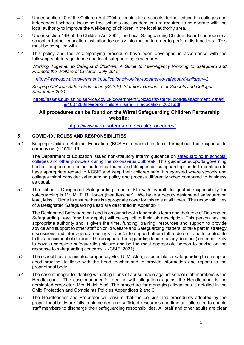- 4.2 Under section 10 of the Children Act 2004, all maintained schools, further education colleges and independent schools, including free schools and academies, are required to co-operate with the local authority to improve the well-being of children in the local authority area.
- 4.3 Under section 14B of the Children Act 2004, the Local Safeguarding Children Board can require a school or further education institution to supply information in order to perform its functions. This must be complied with.
- 4.4 This policy and the accompanying procedure have been developed in accordance with the following statutory guidance and local safeguarding procedures:

*Working Together to Safeguard Children: A Guide to Inter-Agency Working to Safeguard and Promote the Welfare of Children, July 2018:* 

*<https://www.gov.uk/government/publications/working-together-to-safeguard-children--2>*

*Keeping Children Safe in Education (KCSiE): Statutory Guidance for Schools and Colleges, September 2021* 

[https://assets.publishing.service.gov.uk/government/uploads/system/uploads/attachment\\_data/fil](https://assets.publishing.service.gov.uk/government/uploads/system/uploads/attachment_data/file/1007260/Keeping_children_safe_in_education_2021.pdf) [e/1007260/Keeping\\_children\\_safe\\_in\\_education\\_2021.pdf](https://assets.publishing.service.gov.uk/government/uploads/system/uploads/attachment_data/file/1007260/Keeping_children_safe_in_education_2021.pdf)

# **All procedures can be found on the Wirral Safeguarding Children Partnership website:**

<https://www.wirralsafeguarding.co.uk/procedures/>

# **5 COVID-19 / ROLES AND RESPONSIBILITIES**

5.1 Keeping Children Safe in Education (KCSIE) remained in force throughout the response to coronavirus (COVID-19).

The Department of Education issued non-statutory interim quidance on safequarding in schools, [colleges and other providers during the coronavirus outbreak.](https://www.gov.uk/government/publications/covid-19-safeguarding-in-schools-colleges-and-other-providers) This guidance supports governing bodies, proprietors, senior leadership teams and designated safeguarding leads to continue to have appropriate regard to KCSIE and keep their children safe. It suggested where schools and colleges might consider safeguarding policy and process differently when compared to business as usual.

5.2 The school's Designated Safeguarding Lead (DSL) with overall designated responsibility for safeguarding is Mr. M. T. R. Jones (Headteacher). We have a deputy designated safeguarding lead, Miss J. Orme to ensure there is appropriate cover for this role at all times. The responsibilities of a Designated Safeguarding Lead are described in Appendix 1.

The Designated Safeguarding Lead is on our school's leadership team and their role of Designated Safeguarding Lead (and the deputy) will be explicit in their job description. This person has the appropriate authority and is given the time, funding, training, resources and support to provide advice and support to other staff on child welfare and Safeguarding matters, to take part in strategy discussions and inter-agency meetings – and/or to support other staff to do so – and to contribute to the assessment of children. The designated safeguarding lead (and any deputies) are most likely to have a complete safeguarding picture and be the most appropriate person to advise on the response to safeguarding concerns. (KCSIE, 2021).

- 5.3 The school has a nominated proprietor**,** Mrs. N. M. Aloé, responsible for safeguarding to champion good practice, to liaise with the head teacher and to provide information and reports to the proprietorial body.
- 5.4 The case manager for dealing with allegations of abuse made against school staff members is the Headteacher. The case manager for dealing with allegations against the Headteacher is the nominated proprietor, Mrs. N. M. Aloé. The procedure for managing allegations is detailed in the Child Protection and Complaints Policies Appendices 2 and 3.
- 5.5 The Headteacher and Proprietor will ensure that the policies and procedures adopted by the proprietorial body are fully implemented and sufficient resources and time are allocated to enable staff members to discharge their safeguarding responsibilities. All staff and other adults are clear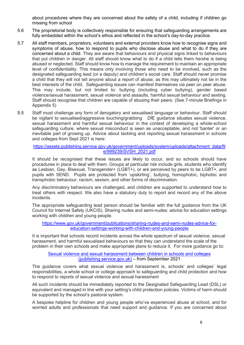about procedures where they are concerned about the safety of a child, including if children go missing from school

- 5.6 The proprietorial body is collectively responsible for ensuring that safeguarding arrangements are fully embedded within the school's ethos and reflected in the school's day-to-day practice.
- 5.7 All staff members, proprietors, volunteers and external providers know how to recognise signs and symptoms of abuse, how to respond to pupils who disclose abuse and what to do if they are concerned about a child. They are aware that behaviours and physical signs linked to behaviours that put children in danger. All staff should know what to do if a child tells them he/she is being abused or neglected. Staff should know how to manage the requirement to maintain an appropriate level of confidentiality. This means only involving those who need to be involved, such as the designated safeguarding lead (or a deputy) and children's social care. Staff should never promise a child that they will not tell anyone about a report of abuse, as this may ultimately not be in the best interests of the child. Safeguarding issues can manifest themselves via peer on peer abuse. This may include, but not limited to: bullying (including cyber bullying), gender based violence/sexual harassment, sexual violence and assaults, harmful sexual behaviour and sexting. Staff should recognise that children are capable of abusing their peers. (See 7-minute Briefings in Appendix 5)
- 5.8 Staff must challenge any form of derogatory and sexualised language or behaviour. Staff should be vigilant to sexualised/aggressive touching/grabbing DfE guidance situates sexual violence, sexual harassment and harmful sexual behaviour in the context of developing a whole-school safeguarding culture, where sexual misconduct is seen as unacceptable, and not 'banter' or an inevitable part of growing up. Advice about tackling and reporting sexual harassment in schools and colleges from Sept 2021 is here:

[https://assets.publishing.service.gov.uk/government/uploads/system/uploads/attachment\\_data/fil](https://assets.publishing.service.gov.uk/government/uploads/system/uploads/attachment_data/file/999239/SVSH_2021.pdf) [e/999239/SVSH\\_2021.pdf](https://assets.publishing.service.gov.uk/government/uploads/system/uploads/attachment_data/file/999239/SVSH_2021.pdf)

 It should be recognised that these issues are likely to occur, and so schools should have procedures in place to deal with them. Groups at particular risk include girls, students who identify as Lesbian, Gay, Bisexual, Transgender+ (LGBT+), or are perceived by peers to be LGBT+, and pupils with SEND. Pupils are protected from 'upskirting', bullying, homophobic, biphobic and transphobic behaviour, racism, sexism, and other forms of discrimination.

Any discriminatory behaviours are challenged, and children are supported to understand how to treat others with respect. We also have a statutory duty to report and record any of the above incidents.

The appropriate safeguarding lead person should be familiar with the full guidance from the UK Council for Internet Safety (UKCIS), Sharing nudes and semi-nudes: advice for education settings working with children and young people.

[https://www.gov.uk/government/publications/sharing-nudes-and-semi-nudes-advice-for](https://www.gov.uk/government/publications/sharing-nudes-and-semi-nudes-advice-for-education-settings-working-with-children-and-young-people)[education-settings-working-with-children-and-young-people](https://www.gov.uk/government/publications/sharing-nudes-and-semi-nudes-advice-for-education-settings-working-with-children-and-young-people)

It is important that schools record incidents across the whole spectrum of sexual violence, sexual harassment, and harmful sexualised behaviours so that they can understand the scale of the problem in their own schools and make appropriate plans to reduce it. For more guidance go to:

[Sexual violence and sexual harassment between children in schools and colleges](https://assets.publishing.service.gov.uk/government/uploads/system/uploads/attachment_data/file/999239/SVSH_2021.pdf)  [\(publishing.service.gov.uk\)](https://assets.publishing.service.gov.uk/government/uploads/system/uploads/attachment_data/file/999239/SVSH_2021.pdf) – from September 2021

The guidance covers what sexual violence and harassment is, schools' and colleges' legal responsibilities, a whole school or college approach to safeguarding and child protection and how to respond to reports of sexual violence and sexual harassment

All such incidents should be immediately reported to the Designated Safeguarding Lead (DSL) or equivalent and managed in line with your setting's child protection policies. Victims of harm should be supported by the school's pastoral system.

A bespoke helpline for children and young people who've experienced abuse at school, and for worried adults and professionals that need support and guidance. If you are concerned about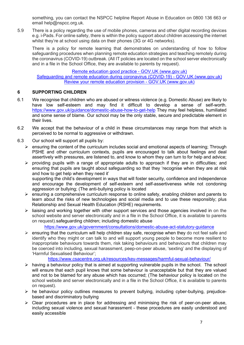something, you can contact the NSPCC helpline Report Abuse in Education on 0800 136 663 or email help@nspcc.org.uk.

5.9 There is a policy regarding the use of mobile phones, cameras and other digital recording devices e.g. i-Pads. For online safety, there is within the policy support about children accessing the internet whilst they're at school using data on their phones (3G or 4G networks).

There is a policy for remote learning that demonstrates on understanding of how to follow safeguarding procedures when planning remote education strategies and teaching remotely during the coronavirus (COVID-19) outbreak. (All IT policies are located on the school server electronically and in a file in the School Office, they are available to parents by request).

[Remote education good practice - GOV.UK \(www.gov.uk\)](https://www.gov.uk/government/publications/remote-education-good-practice/remote-education-good-practice)

[Safeguarding and remote education during coronavirus \(COVID-19\) - GOV.UK \(www.gov.uk\)](https://www.gov.uk/guidance/safeguarding-and-remote-education-during-coronavirus-covid-19) Review your remote education provision - GOV.UK (www.gov.uk)

# **6 SUPPORTING CHILDREN**

- 6.1 We recognise that children who are abused or witness violence (e.g. Domestic Abuse) are likely to have low self-esteem and may find it difficult to develop a sense of self-worth. <https://www.gov.uk/guidance/domestic-abuse-how-to-get-help> They may feel helpless, humiliated and some sense of blame. Our school may be the only stable, secure and predictable element in their lives.
- 6.2 We accept that the behaviour of a child in these circumstances may range from that which is perceived to be normal to aggressive or withdrawn.
- 6.3 Our school will support all pupils by:
	- $\triangleright$  ensuring the content of the curriculum includes social and emotional aspects of learning; Through PSHE and other curriculum contexts, pupils are encouraged to talk about feelings and deal assertively with pressures, are listened to, and know to whom they can turn to for help and advice;
	- $\triangleright$  providing pupils with a range of appropriate adults to approach if they are in difficulties; and ensuring that pupils are taught about safeguarding so that they 'recognise when they are at risk and how to get help when they need it' supporting the child's development in ways that will foster security, confidence and independence and encourage the development of self-esteem and self-assertiveness while not condoning aggression or bullying; (The anti-bullying policy is located
	- $\triangleright$  ensuring a comprehensive curriculum response to online safety, enabling children and parents to learn about the risks of new technologies and social media and to use these responsibly; plus Relationship and Sexual Health Education (RSHE) requirements.
	- $\triangleright$  liaising and working together with other support services and those agencies involved in on the school website and server electronically and in a file in the School Office, it is available to parents on request).safeguarding children; including domestic abuse

<https://www.gov.uk/government/consultations/domestic-abuse-act-statutory-guidance>

 $\triangleright$  ensuring that the curriculum will help children stav safe, recognise when they do not feel safe and identify who they might or can talk to and will support young people to become more resilient to inappropriate behaviours towards them, risk taking behaviours and behaviours that children may be coerced into including, sexual harassment, peep-on-peer abuse, 'sexting' and the displaying of 'Harmful Sexualised Behaviour';

<https://www.csacentre.org.uk/resources/key-messages/harmful-sexual-behaviour/>

- $\triangleright$  having a behaviour policy that is aimed at supporting vulnerable pupils in the school. The school will ensure that each pupil knows that some behaviour is unacceptable but that they are valued and not to be blamed for any abuse which has occurred; (The behaviour policy is located on the school website and server electronically and in a file in the School Office, it is available to parents on request).
- $\triangleright$  he behaviour policy outlines measures to prevent bullying, including cyber-bullying, prejudicebased and discriminatory bullying
- $\triangleright$  Clear procedures are in place for addressing and minimising the risk of peer-on-peer abuse, including sexual violence and sexual harassment - these procedures are easily understood and easily accessible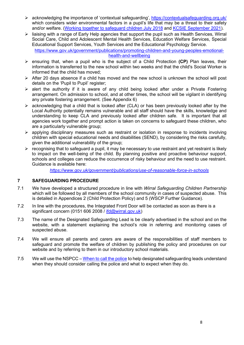- acknowledging the importance of 'contextual safeguarding',<https://contextualsafeguarding.org.uk/> which considers wider environmental factors in a pupil's life that may be a threat to their safety and/or welfare. [\(Working together to safeguard children July 2018](https://www.gov.uk/government/publications/working-together-to-safeguard-children--2) and [KCSIE September 2021\)](https://assets.publishing.service.gov.uk/government/uploads/system/uploads/attachment_data/file/1007260/Keeping_children_safe_in_education_2021.pdf).
- $\triangleright$  liaising with a range of Early Help agencies that support the pupil such as Health Services, Wirral Social Care, Child and Adolescent Mental Health Services, Education Welfare Services, Special Educational Support Services, Youth Services and the Educational Psychology Service. [https://www.gov.uk/government/publications/promoting-children-and-young-peoples-emotional-](https://www.gov.uk/government/publications/promoting-children-and-young-peoples-emotional-health-and-wellbeing)

[health-and-wellbeing](https://www.gov.uk/government/publications/promoting-children-and-young-peoples-emotional-health-and-wellbeing)

- ensuring that, when a pupil who is the subject of a Child Protection **(CP)** Plan leaves, their information is transferred to the new school within two weeks and that the child's Social Worker is informed that the child has moved;
- $\triangleright$  After 20 days absence if a child has moved and the new school is unknown the school will post details on the 'Pupil to Pupil' register;
- $\triangleright$  alert the authority if it is aware of any child being looked after under a Private Fostering arrangement. On admission to school, and at other times, the school will be vigilant in identifying any private fostering arrangement. (See Appendix 6)
- $\triangleright$  acknowledging that a child that is looked after (CLA) or has been previously looked after by the Local Authority potentially remains vulnerable and all staff should have the skills, knowledge and understanding to keep CLA and previously looked after children safe. It is important that all agencies work together and prompt action is taken on concerns to safeguard these children, who are a particularly vulnerable group;
- $\triangleright$  applying disciplinary measures such as restraint or isolation in response to incidents involving children with special educational needs and disabilities (SEND), by considering the risks carefully, given the additional vulnerability of the group;
- $\triangleright$  recognising that to safeguard a pupil, it may be necessary to use restraint and yet restraint is likely to impact on the well-being of the child. By planning positive and proactive behaviour support, schools and colleges can reduce the occurrence of risky behaviour and the need to use restraint. Guidance is available here:

*<https://www.gov.uk/government/publications/use-of-reasonable-force-in-schools>*

# **7 SAFEGUARDING PROCEDURE**

- 7.1 We have developed a structured procedure in line with *Wirral Safeguarding Children Partnership* which will be followed by all members of the school community in cases of suspected abuse. This is detailed in Appendices 2 (Child Protection Policy) and 5 (WSCP Further Guidance).
- 7.2 In line with the procedures, the Integrated Front Door will be contacted as soon as there is a significant concern (0151 606 2008 / [ifd@wirral.gov.uk\)](mailto:ifd@wirral.gov.uk)
- 7.3 The name of the Designated Safeguarding Lead is be clearly advertised in the school and on the website, with a statement explaining the school's role in referring and monitoring cases of suspected abuse.
- 7.4 We will ensure all parents and carers are aware of the responsibilities of staff members to safeguard and promote the welfare of children by publishing the policy and procedures on our website and by referring to them in our introductory school materials.
- 7.5 We will use the NSPCC – [When to call the police](https://www.npcc.police.uk/documents/Children%20and%20Young%20people/When%20to%20call%20the%20police%20guidance%20for%20schools%20and%20colleges.pdf) to help designated safeguarding leads understand when they should consider calling the police and what to expect when they do.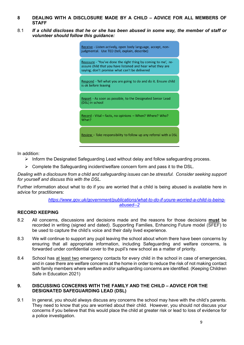- **8 DEALING WITH A DISCLOSURE MADE BY A CHILD ADVICE FOR ALL MEMBERS OF STAFF**
- 8.1 *If a child discloses that he or she has been abused in some way, the member of staff or volunteer should follow this guidance:*



In addition:

- $\triangleright$  Inform the Designated Safeguarding Lead without delay and follow safeguarding process.
- $\triangleright$  Complete the Safeguarding incident/welfare concern form and pass it to the DSL.

*Dealing with a disclosure from a child and safeguarding issues can be stressful. Consider seeking support for yourself and discuss this with the DSL.*

Further information about what to do if you are worried that a child is being abused is available here in advice for practitioners:

> *[https://www.gov.uk/government/publications/what-to-do-if-youre-worried-a-child-is-being](https://www.gov.uk/government/publications/what-to-do-if-youre-worried-a-child-is-being-abused--2)[abused--2](https://www.gov.uk/government/publications/what-to-do-if-youre-worried-a-child-is-being-abused--2)*

# **RECORD KEEPING**

- 8.2 All concerns, discussions and decisions made and the reasons for those decisions **must** be recorded in writing (signed and dated). Supporting Families, Enhancing Future model (SFEF) to be used to capture the child's voice and their daily lived experience.
- 8.3 We will continue to support any pupil leaving the school about whom there have been concerns by ensuring that all appropriate information, including Safeguarding and welfare concerns, is forwarded under confidential cover to the pupil's new school as a matter of priority.
- 8.4 School has at least two emergency contacts for every child in the school in case of emergencies, and in case there are welfare concerns at the home in order to reduce the risk of not making contact with family members where welfare and/or safeguarding concerns are identified. (Keeping Children Safe in Education 2021)

# **9. DISCUSSING CONCERNS WITH THE FAMILY AND THE CHILD – ADVICE FOR THE DESIGNATED SAFEGUARDING LEAD (DSL)**

9.1 In general, you should always discuss any concerns the school may have with the child's parents. They need to know that you are worried about their child. However, you should not discuss your concerns if you believe that this would place the child at greater risk or lead to loss of evidence for a police investigation.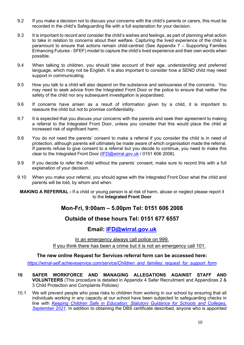- 9.2 If you make a decision not to discuss your concerns with the child's parents or carers, this must be recorded in the child's Safeguarding file with a full explanation for your decision.
- 9.3 It is important to record and consider the child's wishes and feelings, as part of planning what action to take in relation to concerns about their welfare. Capturing the lived experience of the child is paramount to ensure that actions remain child-centred (See Appendix 7 – Supporting Families Enhancing Futures - SFEF) model to capture the child's lived experience and their own words when possible.
- 9.4 When talking to children, you should take account of their age, understanding and preferred language, which may not be English. It is also important to consider how a SEND child may need support in communicating.
- 9.5 How you talk to a child will also depend on the substance and seriousness of the concerns. You may need to seek advice from the Integrated Front Door or the police to ensure that neither the safety of the child nor any subsequent investigation is jeopardised.
- 9.6 If concerns have arisen as a result of information given by a child, it is important to reassure the child but not to promise confidentiality.
- 9.7 It is expected that you discuss your concerns with the parents and seek their agreement to making a referral to the Integrated Front Door, unless you consider that this would place the child at increased risk of significant harm.
- 9.8 You do not need the parents' consent to make a referral if you consider the child is in need of protection, although parents will ultimately be made aware of which organisation made the referral. If parents refuse to give consent to a referral but you decide to continue, you need to make this clear to the Integrated Front Door [\(IFD@wirral.gov.uk](mailto:IFD@wirral.gov.uk) / 0151 606 2008).
- 9.9 If you decide to refer the child without the parents' consent, make sure to record this with a full explanation of your decision.
- 9.10 When you make your referral, you should agree with the Integrated Front Door what the child and parents will be told, by whom and when.

**MAKING A REFERRAL -** If a child or young person is at risk of harm, abuse or neglect please report it to the **Integrated Front Door**

# **Mon-Fri, 9:00am – 5.00pm Tel: 0151 606 2008**

# **Outside of these hours Tel: 0151 677 6557**

# **Email: [IFD@wirral.gov.uk](mailto:IFD@wirral.gov.uk)**

In an emergency always call police on 999. If you think there has been a crime but it is not an emergency call 101.

# **The new online Request for Services referral form can be accessed here:**

*[https://wirral-self.achieveservice.com/service/Children\\_and\\_families\\_request\\_for\\_support\\_form](https://wirral-self.achieveservice.com/service/Children_and_families_request_for_support_form)*

- **10 SAFER WORKFORCE AND MANAGING ALLEGATIONS AGAINST STAFF AND VOLUNTEERS** (This procedure is detailed in Appendix 4 Safer Recruitment and Appendices 2 & 3 Child Protection and Complaints Policies)
- 10.1 We will prevent people who pose risks to children from working in our school by ensuring that all individuals working in any capacity at our school have been subjected to safeguarding checks in line with *[Keeping Children Safe in Education: Statutory Guidance for Schools and Colleges,](https://assets.publishing.service.gov.uk/government/uploads/system/uploads/attachment_data/file/1007260/Keeping_children_safe_in_education_2021.pdf)  [September 2021.](https://assets.publishing.service.gov.uk/government/uploads/system/uploads/attachment_data/file/1007260/Keeping_children_safe_in_education_2021.pdf)* In addition to obtaining the DBS certificate described, anyone who is appointed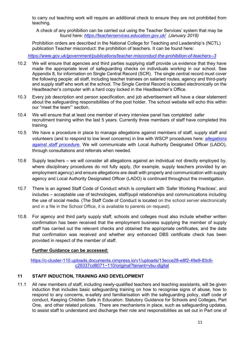to carry out teaching work will require an additional check to ensure they are not prohibited from teaching.

A check of any prohibition can be carried out using the Teacher Services' system that may be found here: *<https://teacherservices.education.gov.uk/> (January 2018)*

Prohibition orders are described in the National College for Teaching and Leadership's (NCTL) publication Teacher misconduct: the prohibition of teachers. It can be found here:

*<https://www.gov.uk/government/publications/teacher-misconduct-the-prohibition-of-teachers--3>*

- 10.2 We will ensure that agencies and third parties supplying staff provide us evidence that they have made the appropriate level of safeguarding checks on individuals working in our school. See Appendix 8, for information on Single Central Record (SCR). The single central record must cover the following people: all staff, including teacher trainees on salaried routes, agency and third-party and supply staff who work at the school. The Single Central Record is located electronically on the Headteacher's computer with a hard copy locked in the Headteacher's Office.
- 10.3 Every job description and person specification, and job advertisement will have a clear statement about the safeguarding responsibilities of the post holder. The school website will echo this within our "meet the team"' section.
- 10.4 We will ensure that at least one member of every interview panel has completed safer recruitment training within the last 5 years. Currently three members of staff have completed this training.
- 10.5 We have a procedure in place to manage allegations against members of staff, supply staff and volunteers (and to respond to low level concerns) in line with WSCP procedures here: *[allegations](https://www.wirralsafeguarding.co.uk/wp-content/uploads/2020/12/LADO-Managing-Allegations-against-Staff-Procedure.pdf)  [against staff](https://www.wirralsafeguarding.co.uk/wp-content/uploads/2020/12/LADO-Managing-Allegations-against-Staff-Procedure.pdf) procedure.* We will communicate with Local Authority Designated Officer (LADO), through consultations and referrals when needed.
- 10.6 Supply teachers we will consider all allegations against an individual not directly employed by, where disciplinary procedures do not fully apply, (for example, supply teachers provided by an employment agency) and ensure allegations are dealt with properly and communication with supply agency and Local Authority Designated Officer (LADO) is continued throughout the investigation.
- 10.7 There is an agreed Staff Code of Conduct which is compliant with 'Safer Working Practices', and includes – acceptable use of technologies, staff/pupil relationships and communications including the use of social media. (The Staff Code of Conduct is located on the school server electronically and in a file in the School Office, it is available to parents on request).
- 10.8. For agency and third party supply staff, schools and colleges must also include whether written confirmation has been received that the employment business supplying the member of supply staff has carried out the relevant checks and obtained the appropriate certificates, and the date that confirmation was received and whether any enhanced DBS certificate check has been provided in respect of the member of staff.

# **Further Guidance can be accessed:**

[https://c-cluster-110.uploads.documents.cimpress.io/v1/uploads/13ecce28-e8f2-49e9-83c6](https://c-cluster-110.uploads.documents.cimpress.io/v1/uploads/13ecce28-e8f2-49e9-83c6-c29337cd8071%7E110/original?tenant=vbu-digital) [c29337cd8071~110/original?tenant=vbu-digital](https://c-cluster-110.uploads.documents.cimpress.io/v1/uploads/13ecce28-e8f2-49e9-83c6-c29337cd8071%7E110/original?tenant=vbu-digital)

# **11 STAFF INDUCTION, TRAINING AND DEVELOPMENT**

11.1 All new members of staff, including newly-qualified teachers and teaching assistants, will be given induction that includes basic safeguarding training on how to recognise signs of abuse, how to respond to any concerns, e-safety and familiarisation with the safeguarding policy, staff code of conduct, Keeping Children Safe in Education: Statutory Guidance for Schools and Colleges, Part One, and other related policies. There are mechanisms in place, such as safeguarding updates, to assist staff to understand and discharge their role and responsibilities as set out in Part one of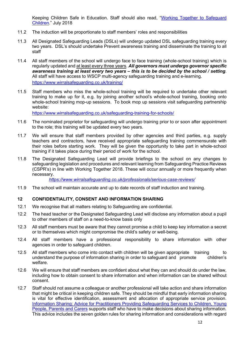Keeping Children Safe in Education. Staff should also read, ["Working Together to Safeguard](https://www.gov.uk/government/publications/working-together-to-safeguard-children--2)  [Children.](https://www.gov.uk/government/publications/working-together-to-safeguard-children--2)" July 2018

- 11.2 The induction will be proportionate to staff members' roles and responsibilities
- 11.3 All Designated Safeguarding Leads (DSLs) will undergo updated DSL safeguarding training every two years. DSL's should undertake Prevent awareness training and disseminate the training to all staff
- 11.4 All staff members of the school will undergo face to face training (whole-school training) which is regularly updated and at least every three years. *All governors must undergo governor specific awareness training at least every two years – this is to be decided by the school / setting*. All staff will have access to WSCP multi-agency safeguarding training and e-learning. <https://www.wirralsafeguarding.co.uk/training/>
- 11.5 Staff members who miss the whole-school training will be required to undertake other relevant training to make up for it, e.g. by joining another school's whole-school training, booking onto whole-school training mop-up sessions. To book mop up sessions visit safeguarding partnership website:

<https://www.wirralsafeguarding.co.uk/safeguarding-training-for-schools/>

- 11.6 The nominated proprietor for safeguarding will undergo training prior to or soon after appointment to the role; this training will be updated every two years.
- 11.7 We will ensure that staff members provided by other agencies and third parties, e.g. supply teachers and contractors, have received appropriate safeguarding training commensurate with their roles before starting work. They will be given the opportunity to take part in whole-school training if it takes place during their period of work for the school.
- 11.8 The Designated Safeguarding Lead will provide briefings to the school on any changes to safeguarding legislation and procedures and relevant learning from Safeguarding Practice Reviews (CSPR's) in line with Working Together 2018. These will occur annually or more frequently when necessary.

*<https://www.wirralsafeguarding.co.uk/professionals/serious-case-reviews/>*

11.9 The school will maintain accurate and up to date records of staff induction and training.

#### **12 CONFIDENTIALITY, CONSENT AND INFORMATION SHARING**

- 12.1 We recognise that all matters relating to Safeguarding are confidential.
- 12.2 The head teacher or the Designated Safeguarding Lead will disclose any information about a pupil to other members of staff on a need-to-know basis only
- 12.3 All staff members must be aware that they cannot promise a child to keep key information a secret or to themselves which might compromise the child's safety or well-being.
- 12.4 All staff members have a professional responsibility to share information with other agencies in order to safeguard children.
- 12.5 All staff members who come into contact with children will be given appropriate training to<br>understand the purpose of information sharing in order to safeguard and promote children's understand the purpose of information sharing in order to safeguard and promote welfare.
- 12.6 We will ensure that staff members are confident about what they can and should do under the law, including how to obtain consent to share information and when information can be shared without consent.
- 12.7 Staff should not assume a colleague or another professional will take action and share information that might be critical in keeping children safe. They should be mindful that early information sharing is vital for effective identification, assessment and allocation of appropriate service provision. [Information Sharing: Advice for Practitioners Providing Safeguarding Services to Children, Young](https://www.gov.uk/government/publications/safeguarding-practitioners-information-sharing-advice)  [People, Parents and Carers](https://www.gov.uk/government/publications/safeguarding-practitioners-information-sharing-advice) supports staff who have to make decisions about sharing information. This advice includes the seven golden rules for sharing information and considerations with regard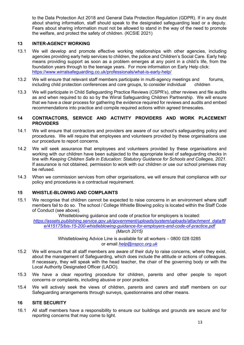to the Data Protection Act 2018 and General Data Protection Regulation (GDPR). If in any doubt about sharing information, staff should speak to the designated safeguarding lead or a deputy. Fears about sharing information must not be allowed to stand in the way of the need to promote the welfare, and protect the safety of children. (KCSIE 2021)

# **13 INTER-AGENCY WORKING**

- 13.1 We will develop and promote effective working relationships with other agencies, including agencies providing early help services to children, the police and Children's Social Care. Early help means providing support as soon as a problem emerges at any point in a child's life, from the foundation years through to the teenage years. For more information on Early Help click: <https://www.wirralsafeguarding.co.uk/professionals/what-is-early-help/>
- 13.2 We will ensure that relevant staff members participate in multi-agency meetings and forums, including child protection conferences and core groups, to consider individual children
- 13.3 We will participate in Child Safeguarding Practice Reviews (CSPR's), other reviews and file audits as and when required to do so by the Wirral Safeguarding Children Partnership. We will ensure that we have a clear process for gathering the evidence required for reviews and audits and embed recommendations into practice and compile required actions within agreed timescales.

### **14 CONTRACTORS, SERVICE AND ACTIVITY PROVIDERS AND WORK PLACEMENT PROVIDERS**

- 14.1 We will ensure that contractors and providers are aware of our school's safeguarding policy and procedures. We will require that employees and volunteers provided by these organisations use our procedure to report concerns.
- 14.2 We will seek assurance that employees and volunteers provided by these organisations and working with our children have been subjected to the appropriate level of safeguarding checks in line with *Keeping Children Safe in Education: Statutory Guidance for Schools and Colleges, 2021.* If assurance is not obtained, permission to work with our children or use our school premises may be refused.
- 14.3 When we commission services from other organisations, we will ensure that compliance with our policy and procedures is a contractual requirement.

# **15 WHISTLE-BLOWING AND COMPLAINTS**

15.1 We recognise that children cannot be expected to raise concerns in an environment where staff members fail to do so. The school / College Whistle Blowing policy is located within the Staff Code of Conduct (see above).

Whistleblowing guidance and code of practice for employers is located:

*[https://assets.publishing.service.gov.uk/government/uploads/system/uploads/attachment\\_data/fil](https://assets.publishing.service.gov.uk/government/uploads/system/uploads/attachment_data/file/415175/bis-15-200-whistleblowing-guidance-for-employers-and-code-of-practice.pdf) [e/415175/bis-15-200-whistleblowing-guidance-for-employers-and-code-of-practice.pdf](https://assets.publishing.service.gov.uk/government/uploads/system/uploads/attachment_data/file/415175/bis-15-200-whistleblowing-guidance-for-employers-and-code-of-practice.pdf) (March 2015)*

> Whistleblowing Advice Line is available for all workers – 0800 028 0285 or email *[help@nspcc.org.uk](mailto:help@nspcc.org.uk)*

- 15.2 We will ensure that all staff members are aware of their duty to raise concerns, where they exist, about the management of Safeguarding, which does include the attitude or actions of colleagues. If necessary, they will speak with the head teacher, the chair of the governing body or with the Local Authority Designated Officer (LADO).
- 15.3 We have a clear reporting procedure for children, parents and other people to report concerns or complaints, including abusive or poor practice.
- 15.4 We will actively seek the views of children, parents and carers and staff members on our Safeguarding arrangements through surveys, questionnaires and other means.

# **16 SITE SECURITY**

16.1 All staff members have a responsibility to ensure our buildings and grounds are secure and for reporting concerns that may come to light.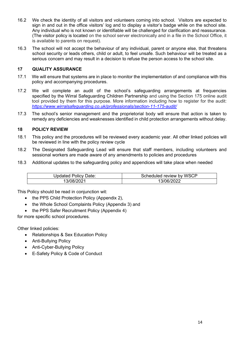- 16.2 We check the identity of all visitors and volunteers coming into school. Visitors are expected to sign in and out in the office visitors' log and to display a visitor's badge while on the school site. Any individual who is not known or identifiable will be challenged for clarification and reassurance. (The visitor policy is located on the school server electronically and in a file in the School Office, it is available to parents on request).
- 16.3 The school will not accept the behaviour of any individual, parent or anyone else, that threatens school security or leads others, child or adult, to feel unsafe. Such behaviour will be treated as a serious concern and may result in a decision to refuse the person access to the school site.

# **17 QUALITY ASSURANCE**

- 17.1 We will ensure that systems are in place to monitor the implementation of and compliance with this policy and accompanying procedures.
- 17.2 We will complete an audit of the school's safeguarding arrangements at frequencies specified by the Wirral Safeguarding Children Partnership and using the Section 175 online audit tool provided by them for this purpose. More information including how to register for the audit: *<https://www.wirralsafeguarding.co.uk/professionals/section-11-175-audit/>*
- 17.3 The school's senior management and the proprietorial body will ensure that action is taken to remedy any deficiencies and weaknesses identified in child protection arrangements without delay.

# **18 POLICY REVIEW**

- 18.1 This policy and the procedures will be reviewed every academic year. All other linked policies will be reviewed in line with the policy review cycle
- 18.2 The Designated Safeguarding Lead will ensure that staff members, including volunteers and sessional workers are made aware of any amendments to policies and procedures
- 18.3 Additional updates to the safeguarding policy and appendices will take place when needed

| Updated Policy Date: | Scheduled review by WSCP |
|----------------------|--------------------------|
| 3/08/2021            | 3/06/2022<br>31          |

This Policy should be read in conjunction wit:

- the PPS Child Protection Policy (Appendix 2),
- the Whole School Complaints Policy (Appendix 3) and
- the PPS Safer Recruitment Policy (Appendix 4)

for more specific school procedures.

Other linked policies:

- Relationships & Sex Education Policy
- Anti-Bullying Policy
- Anti-Cyber-Bullying Policy
- E-Safety Policy & Code of Conduct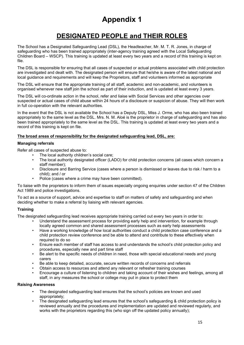# **Appendix 1**

# **DESIGNATED PEOPLE and THEIR ROLES**

The School has a Designated Safeguarding Lead (DSL), the Headteacher, Mr. M. T. R. Jones, in charge of safeguarding who has been trained appropriately (inter-agency training agreed with the Local Safeguarding Children Board – WSCP). This training is updated at least every two years and a record of this training is kept on file.

The DSL is responsible for ensuring that all cases of suspected or actual problems associated with child protection are investigated and dealt with. The designated person will ensure that he/she is aware of the latest national and local guidance and requirements and will keep the Proprietors, staff and volunteers informed as appropriate

The DSL will ensure that the appropriate training of all staff, academic and non-academic, and volunteers is organised whenever new staff join the school as part of their induction, and is updated at least every 3 years.

The DSL will co-ordinate action in the school, refer and liaise with Social Services and other agencies over suspected or actual cases of child abuse within 24 hours of a disclosure or suspicion of abuse. They will then work in full co-operation with the relevant authorities.

In the event that the DSL is not available the School has a Deputy DSL, Miss J. Orme, who has also been trained appropriately to the same level as the DSL. Mrs. N. M. Aloé is the proprietor in charge of safeguarding and has also been trained appropriately to the same level as the DSL. This training is updated at least every two years and a record of this training is kept on file.

#### **The broad areas of responsibility for the designated safeguarding lead, DSL, are:**

#### **Managing referrals**

Refer all cases of suspected abuse to:

- The local authority children's social care;
- The local authority designated officer (LADO) for child protection concerns (all cases which concern a staff member);
- Disclosure and Barring Service (cases where a person is dismissed or leaves due to risk / harm to a child); and / or
- Police (cases where a crime may have been committed).

To liaise with the proprietors to inform them of issues especially ongoing enquiries under section 47 of the Children Act 1989 and police investigations.

To act as a source of support, advice and expertise to staff on matters of safety and safeguarding and when deciding whether to make a referral by liaising with relevant agencies.

# **Training**

The designated safeguarding lead receives appropriate training carried out every two years in order to:

- Understand the assessment process for providing early help and intervention, for example through locally agreed common and shared assessment processes such as early help assessments
- Have a working knowledge of how local authorities conduct a child protection case conference and a child protection review conference and be able to attend and contribute to these effectively when required to do so
- Ensure each member of staff has access to and understands the school's child protection policy and procedures, especially new and part time staff
- Be alert to the specific needs of children in need, those with special educational needs and young carers
- Be able to keep detailed, accurate, secure written records of concerns and referrals
- Obtain access to resources and attend any relevant or refresher training courses
- Encourage a culture of listening to children and taking account of their wishes and feelings, among all staff, in any measures the school or college may put in place to protect them

#### **Raising Awareness**

- The designated safeguarding lead ensures that the school's policies are known and used appropriately;
- The designated safeguarding lead ensures that the school's safeguarding & child protection policy is reviewed annually and the procedures and implementation are updated and reviewed regularly, and works with the proprietors regarding this (who sign off the updated policy annually);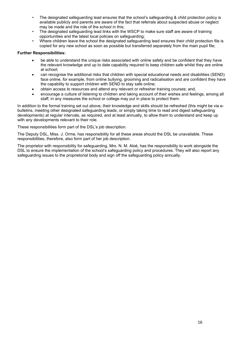- The designated safeguarding lead ensures that the school's safeguarding & child protection policy is available publicly and parents are aware of the fact that referrals about suspected abuse or neglect may be made and the role of the school in this;
- The designated safeguarding lead links with the WSCP to make sure staff are aware of training opportunities and the latest local policies on safeguarding;
- Where children leave the school the designated safeguarding lead ensures their child protection file is copied for any new school as soon as possible but transferred separately from the main pupil file;

#### **Further Responsibilities:**

- be able to understand the unique risks associated with online safety and be confident that they have the relevant knowledge and up to date capability required to keep children safe whilst they are online at school;
- can recognise the additional risks that children with special educational needs and disabilities (SEND) face online, for example, from online bullying, grooming and radicalisation and are confident they have the capability to support children with SEND to stay safe online;
- obtain access to resources and attend any relevant or refresher training courses; and,
- encourage a culture of listening to children and taking account of their wishes and feelings, among all staff, in any measures the school or college may put in place to protect them.

In addition to the formal training set out above, their knowledge and skills should be refreshed (this might be via ebulletins, meeting other designated safeguarding leads, or simply taking time to read and digest safeguarding developments) at regular intervals, as required, and at least annually, to allow them to understand and keep up with any developments relevant to their role.

These responsibilities form part of the DSL's job description.

The Deputy DSL, Miss. J. Orme, has responsibility for all these areas should the DSL be unavailable. These responsibilities, therefore, also form part of her job description.

The proprietor with responsibility for safeguarding, Mrs. N. M. Aloé, has the responsibility to work alongside the DSL to ensure the implementation of the school's safeguarding policy and procedures. They will also report any safeguarding issues to the proprietorial body and sign off the safeguarding policy annually.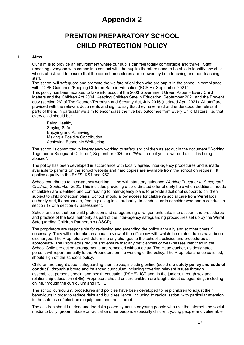# **Appendix 2**

# **PRENTON PREPARATORY SCHOOL CHILD PROTECTION POLICY**

# **1. Aims**

Our aim is to provide an environment where our pupils can feel totally comfortable and thrive. Staff (meaning everyone who comes into contact with the pupils) therefore need to be able to identify any child who is at risk and to ensure that the correct procedures are followed by both teaching and non-teaching staff.

The school will safeguard and promote the welfare of children who are pupils in the school in compliance with DCSF Guidance "Keeping Children Safe in Education (KCSIE), September 2021"

This policy has been adapted to take into account the 2003 Government Green Paper – Every Child Matters and the Children Act 2004, Keeping Children Safe in Education, September 2021 and the Prevent duty (section 26) of The Counter-Terrorism and Security Act, July 2015 (updated April 2021). All staff are provided with the relevant documents and sign to say that they have read and understood the relevant parts of them. In particular we aim to encompass the five key outcomes from Every Child Matters, i.e. that every child should be:

Being Healthy Staying Safe Enjoying and Achieving Making a Positive Contribution Achieving Economic Well-being

The school is committed to interagency working to safeguard children as set out in the document "Working Together to Safeguard Children", September 2020 and "What to do if you're worried a child is being abused".

The policy has been developed in accordance with locally agreed inter-agency procedures and is made available to parents on the school website and hard copies are available from the school on request. It applies equally to the EYFS, KS1 and KS2.

School contributes to inter-agency working in line with statutory guidance *Working Together to Safeguard Children, September 2020*. This includes providing a co-ordinated offer of early help when additional needs of children are identified and contributing to inter-agency plans to provide additional support to children subject to child protection plans. School should allow access for children's social care from Wirral local authority and, if appropriate, from a placing local authority, to conduct, or to consider whether to conduct, a section 17 or a section 47 assessment.

School ensures that our child protection and safeguarding arrangements take into account the procedures and practice of the local authority as part of the inter-agency safeguarding procedures set up by the Wirral Safeguarding Children Partnership (WSCP).

The proprietors are responsible for reviewing and amending the policy annually and at other times if necessary. They will undertake an annual review of the efficiency with which the related duties have been discharged. The Proprietors will determine any changes to the school's policies and procedures as appropriate. The Proprietors require and ensure that any deficiencies or weaknesses identified in the School Child protection arrangements are remedied without delay. The Headteacher, as designated person, will report annually to the Proprietors on the working of the policy. The Proprietors, once satisfied, should sign off the school's policy.

Children are taught about safeguarding themselves, including online (see the **e-safety policy and code of conduct**), through a broad and balanced curriculum including covering relevant issues through assemblies, personal, social and health education (PSHE), ICT and, in the juniors, through sex and relationship education (SRE). Proprietors should ensure children are taught about safeguarding, including online, through the curriculum and PSHE.

The school curriculum, procedures and policies have been developed to help children to adjust their behaviours in order to reduce risks and build resilience, including to radicalisation, with particular attention to the safe use of electronic equipment and the internet.

The children should understand the risks posed by adults or young people who use the internet and social media to bully, groom, abuse or radicalise other people, especially children, young people and vulnerable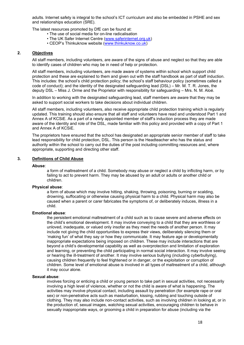adults. Internet safety is integral to the school's ICT curriculum and also be embedded in PSHE and sex and relationships education (SRE).

The latest resources promoted by DfE can be found at:

- The use of social media for on-line radicalisation
- The UK Safer Internet Centre [\(www.saferinternet.org.uk\)](http://www.saferinternet.org.uk/)
- CEOP's Thinkuknow website [\(www.thinkuknow.co.uk\)](http://www.thinkuknow.co.uk/)

#### **2. Objectives**

All staff members, including volunteers, are aware of the signs of abuse and neglect so that they are able to identify cases of children who may be in need of help or protection.

All staff members, including volunteers, are made aware of systems within school which support child protection and these are explained to them and given out with the staff handbook as part of staff induction. This includes: the school's child protection policy; the school's staff behaviour policy (sometimes called a code of conduct); and the identity of the designated safeguarding lead (DSL) – Mr. M. T. R. Jones, the deputy DSL – Miss J. Orme and the Proprietor with responsibility for safeguarding – Mrs. N. M. Aloé.

In addition to working with the designated safeguarding lead, staff members are aware that they may be asked to support social workers to take decisions about individual children.

All staff members, including volunteers, also receive appropriate child protection training which is regularly updated. This training should also ensure that all staff and volunteers have read and understood Part 1 and Annex A of KCSiE. As a part of a newly appointed member of staff's induction process they are made aware of the identity and role of the DSL, made familiar with this policy and provided with a copy of Part 1 and Annex A of KCSiE.

The proprietors have ensured that the school has designated an appropriate senior member of staff to take lead responsibility for child protection, DSL. This person is the Headteacher who has the status and authority within the school to carry out the duties of the post including committing resources and, where appropriate, supporting and directing other staff.

#### **3. Definitions of Child Abuse**

#### **Abuse**:

a form of maltreatment of a child. Somebody may abuse or neglect a child by inflicting harm, or by failing to act to prevent harm. They may be abused by an adult or adults or another child or children.

#### **Physical abuse**:

a form of abuse which may involve hitting, shaking, throwing, poisoning, burning or scalding, drowning, suffocating or otherwise causing physical harm to a child. Physical harm may also be caused when a parent or carer fabricates the symptoms of, or deliberately induces, illness in a child.

#### **Emotional abuse**:

the persistent emotional maltreatment of a child such as to cause severe and adverse effects on the child's emotional development. It may involve conveying to a child that they are worthless or unloved, inadequate, or valued only insofar as they meet the needs of another person. It may include not giving the child opportunities to express their views, deliberately silencing them or 'making fun' of what they say or how they communicate. It may feature age or developmentally inappropriate expectations being imposed on children. These may include interactions that are beyond a child's developmental capability as well as overprotection and limitation of exploration and learning, or preventing the child participating in normal social interaction. It may involve seeing or hearing the ill-treatment of another. It may involve serious bullying (including cyberbullying), causing children frequently to feel frightened or in danger, or the exploitation or corruption of children. Some level of emotional abuse is involved in all types of maltreatment of a child, although it may occur alone.

#### **Sexual abuse**:

involves forcing or enticing a child or young person to take part in sexual activities, not necessarily involving a high level of violence, whether or not the child is aware of what is happening. The activities may involve physical contact, including assault by penetration (for example rape or oral sex) or non-penetrative acts such as masturbation, kissing, rubbing and touching outside of clothing. They may also include non-contact activities, such as involving children in looking at, or in the production of, sexual images, watching sexual activities, encouraging children to behave in sexually inappropriate ways, or grooming a child in preparation for abuse (including via the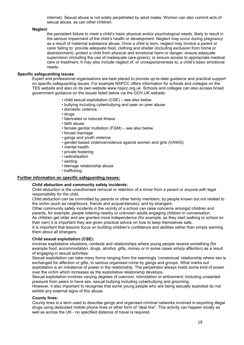internet). Sexual abuse is not solely perpetrated by adult males. Women can also commit acts of sexual abuse, as can other children.

#### **Neglect**:

the persistent failure to meet a child's basic physical and/or psychological needs, likely to result in the serious impairment of the child's health or development. Neglect may occur during pregnancy as a result of maternal substance abuse. Once a child is born, neglect may involve a parent or carer failing to: provide adequate food, clothing and shelter (including exclusion from home or abandonment); protect a child from physical and emotional harm or danger; ensure adequate supervision (including the use of inadequate care-givers); or ensure access to appropriate medical care or treatment. It may also include neglect of, or unresponsiveness to, a child's basic emotional needs.

#### **Specific safeguarding issues**:

Expert and professional organisations are best placed to provide up-to-date guidance and practical support on specific safeguarding issues. For example NSPCC offers information for schools and colleges on the TES website and also on its own website www.nspcc.org.uk Schools and colleges can also access broad government guidance on the issues listed below via the GOV.UK website:

- child sexual exploitation (CSE) see also below
- bullying including cyberbullying and peer on peer abuse
- domestic violence
- drugs
- fabricated or induced illness
- faith abuse
- female genital mutilation (FGM) see also below
- forced marriage
- gangs and youth violence
- gender-based violence/violence against women and girls (VAWG)
- mental health
- private fostering
- radicalisation
- sexting
- teenage relationship abuse
- trafficking

#### **Further information on specific safeguarding issues:**

#### **Child abduction and community safety incidents:**

Child abduction is the unauthorised removal or retention of a minor from a parent or anyone with legal responsibility for the child.

Child abduction can be committed by parents or other family members; by people known but not related to the victim (such as neighbours, friends and acquaintances); and by strangers.

Other community safety incidents in the vicinity of a school can raise concerns amongst children and parents, for example, people loitering nearby or unknown adults engaging children in conversation. As children get older and are granted more independence (for example, as they start walking to school on

their own) it is important they are given practical advice on how to keep themselves safe.

It is important that lessons focus on building children's confidence and abilities rather than simply warning them about all strangers.

#### **Child sexual exploitation (CSE):**

involves exploitative situations, contexts and relationships where young people receive something (for example food, accommodation, drugs, alcohol, gifts, money or in some cases simply affection) as a result of engaging in sexual activities.

Sexual exploitation can take many forms ranging from the seemingly 'consensual' relationship where sex is exchanged for affection or gifts, to serious organised crime by gangs and groups. What marks out exploitation is an imbalance of power in the relationship. The perpetrator always holds some kind of power over the victim which increases as the exploitative relationship develops.

Sexual exploitation involves varying degrees of coercion, intimidation or enticement, including unwanted pressure from peers to have sex, sexual bullying including cyberbullying and grooming.

However, it also important to recognise that some young people who are being sexually exploited do not exhibit any external signs of this abuse.

#### **County lines:**

County lines is a term used to describe gangs and organised criminal networks involved in exporting illegal drugs using dedicated mobile phone lines or other form of "deal line". This activity can happen locally as well as across the UK - no specified distance of travel is required.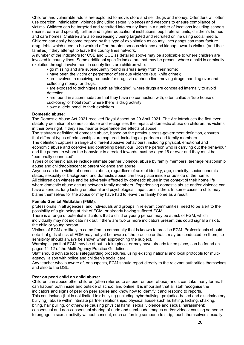Children and vulnerable adults are exploited to move, store and sell drugs and money. Offenders will often use coercion, intimidation, violence (including sexual violence) and weapons to ensure compliance of victims. Children can be targeted and recruited into county lines in a number of locations including schools (mainstream and special), further and higher educational institutions, pupil referral units, children's homes and care homes. Children are also increasingly being targeted and recruited online using social media. Children can easily become trapped by this type of exploitation as county lines gangs can manufacture drug debts which need to be worked off or threaten serious violence and kidnap towards victims (and their families) if they attempt to leave the county lines network.

A number of the indicators for CSE and CCE as detailed above may be applicable to where children are involved in county lines. Some additional specific indicators that may be present where a child is criminally exploited through involvement in county lines are children who:

• go missing and are subsequently found in areas away from their home;

• have been the victim or perpetrator of serious violence (e.g. knife crime);

• are involved in receiving requests for drugs via a phone line, moving drugs, handing over and collecting money for drugs;

• are exposed to techniques such as 'plugging', where drugs are concealed internally to avoid detection;

• are found in accommodation that they have no connection with, often called a 'trap house or cuckooing' or hotel room where there is drug activity;

• owe a 'debt bond' to their exploiters.

#### **Domestic abuse:**

The Domestic Abuse Act 2021 received Royal Assent on 29 April 2021. The Act introduces the first ever statutory definition of domestic abuse and recognises the impact of domestic abuse on children, as victims in their own right, if they see, hear or experience the effects of abuse.

The statutory definition of domestic abuse, based on the previous cross-government definition, ensures that different types of relationships are captured, including ex-partners and family members.

The definition captures a range of different abusive behaviours, including physical, emotional and economic abuse and coercive and controlling behaviour. Both the person who is carrying out the behaviour and the person to whom the behaviour is directed towards must be aged 16 or over and they must be "personally connected".

Types of domestic abuse include intimate partner violence, abuse by family members, teenage relationship abuse and child/adolescent to parent violence and abuse.

Anyone can be a victim of domestic abuse, regardless of sexual identity, age, ethnicity, socioeconomic status, sexuality or background and domestic abuse can take place inside or outside of the home. All children can witness and be adversely affected by domestic abuse in the context of their home life where domestic abuse occurs between family members. Experiencing domestic abuse and/or violence can have a serious, long lasting emotional and psychological impact on children. In some cases, a child may blame themselves for the abuse or may have had to leave the family home as a result.

#### **Female Genital Mutilation (FGM)**:

professionals in all agencies, and individuals and groups in relevant communities, need to be alert to the possibility of a girl being at risk of FGM, or already having suffered FGM.

There is a range of potential indicators that a child or young person may be at risk of FGM, which individually may not indicate risk but if there are two or more indicators present this could signal a risk to the child or young person.

Victims of FGM are likely to come from a community that is known to practise FGM. Professionals should note that girls at risk of FGM may not yet be aware of the practice or that it may be conducted on them, so sensitivity should always be shown when approaching the subject.

Warning signs that FGM may be about to take place, or may have already taken place, can be found on pages 11-12 of the Multi-Agency Practice Guidelines.

Staff should activate local safeguarding procedures, using existing national and local protocols for multiagency liaison with police and children's social care.

Any teacher who is aware of, or suspects, FGM should report directly to the relevant authorities themselves and also to the DSL.

#### **Peer on peer/ child on child abuse:**

Children can abuse other children (often referred to as peer on peer abuse) and it can take many forms. It can happen both inside and outside of school and online. It is important that all staff recognise the indicators and signs of peer on peer abuse and know how to identify it and respond to reports.

This can include (but is not limited to): bullying (including cyberbullying, prejudice-based and discriminatory bullying); abuse within intimate partner relationships; physical abuse such as hitting, kicking, shaking, biting, hair pulling, or otherwise causing physical harm; sexual violence and sexual harassment; consensual and non-consensual sharing of nude and semi-nude images and/or videos; causing someone to engage in sexual activity without consent, such as forcing someone to strip, touch themselves sexually,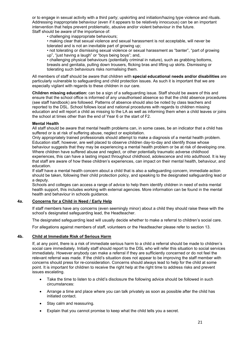or to engage in sexual activity with a third party; upskirting and initiation/hazing type violence and rituals. Addressing inappropriate behaviour (even if it appears to be relatively innocuous) can be an important intervention that helps prevent problematic, abusive and/or violent behaviour in the future. Staff should be aware of the importance of:

• challenging inappropriate behaviours;

• making clear that sexual violence and sexual harassment is not acceptable, will never be tolerated and is not an inevitable part of growing up;

• not tolerating or dismissing sexual violence or sexual harassment as "banter", "part of growing up", "just having a laugh" or "boys being boys"; and,

• challenging physical behaviours (potentially criminal in nature), such as grabbing bottoms, breasts and genitalia, pulling down trousers, flicking bras and lifting up skirts. Dismissing or tolerating such behaviours risks normalising them.

All members of staff should be aware that children with **special educational needs and/or disabilities** are particularly vulnerable to safeguarding and child protection issues. As such it is important that we are especially vigilant with regards to these children in our care.

**Children missing education:** can be a sign of a safeguarding issue. Staff should be aware of this and ensure that the school office is informed of any unauthorised absence so that the child absence procedures (see staff handbook) are followed. Patterns of absence should also be noted by class teachers and reported to the DSL. School follows local and national procedures with regards to children missing education and will report a child as missing to the LA as well as informing them when a child leaves or joins the school at times other than the end of Year 6 or the start of F2.

#### **Mental Health**

All staff should be aware that mental health problems can, in some cases, be an indicator that a child has suffered or is at risk of suffering abuse, neglect or exploitation.

Only appropriately trained professionals should attempt to make a diagnosis of a mental health problem. Education staff, however, are well placed to observe children day-to-day and identify those whose behaviour suggests that they may be experiencing a mental health problem or be at risk of developing one. Where children have suffered abuse and neglect, or other potentially traumatic adverse childhood experiences, this can have a lasting impact throughout childhood, adolescence and into adulthood. It is key that staff are aware of how these children's experiences, can impact on their mental health, behaviour, and education.

If staff have a mental health concern about a child that is also a safeguarding concern, immediate action should be taken, following their child protection policy, and speaking to the designated safeguarding lead or a deputy.

Schools and colleges can access a range of advice to help them identify children in need of extra mental health support, this includes working with external agencies. More information can be found in the mental health and behaviour in schools guidance.

#### **4a. Concerns for a Child in Need / Early Help**

If staff members have any concerns (even seemingly minor) about a child they should raise these with the school's designated safeguarding lead, the Headteacher.

The designated safeguarding lead will usually decide whether to make a referral to children's social care.

For allegations against members of staff, volunteers or the Headteacher please refer to section 13.

#### **4b. Child at Immediate Risk of Serious Harm**

If, at any point, there is a risk of immediate serious harm to a child a referral should be made to children's social care immediately. Initially staff should report to the DSL who will refer this situation to social services immediately. However anybody can make a referral if they are sufficiently concerned or do not feel the relevant referral was made. If the child's situation does not appear to be improving the staff member with concerns should press for re-consideration. Concerns should always lead to help for the child at some point. It is important for children to receive the right help at the right time to address risks and prevent issues escalating.

- Take the time to listen to a child's disclosure the following advice should be followed in such circumstances:
- Arrange a time and place where you can talk privately as soon as possible after the child has initiated contact.
- Stay calm and reassuring.
- Explain that you cannot promise to keep what the child tells you a secret.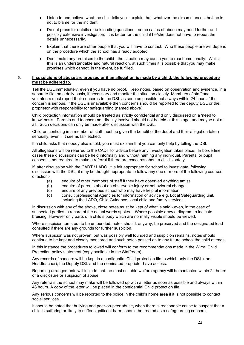- Listen to and believe what the child tells you explain that, whatever the circumstances, he/she is not to blame for the incident.
- Do not press for details or ask leading questions some cases of abuse may need further and possibly extensive investigation. It is better for the child if he/she does not have to repeat the details unnecessarily.
- Explain that there are other people that you will have to contact. Who these people are will depend on the procedure which the school has already adopted.
- Don't make any promises to the child the situation may cause you to react emotionally. Whilst this is an understandable and natural reaction, at such times it is possible that you may make promises which cannot, in the event, be fulfilled.

#### **5. If suspicions of abuse are aroused or if an allegation is made by a child, the following procedure must be adhered to.**

Tell the DSL immediately, even if you have no proof. Keep notes, based on observation and evidence, in a separate file, on a daily basis, if necessary and monitor the situation closely. Members of staff and volunteers must report their concerns to the DSL as soon as possible but always within 24 hours if the concern is serious. If the DSL is unavailable then concerns should be reported to the deputy DSL or the proprietor with responsibility for safeguarding (named above).

Child protection information should be treated as strictly confidential and only discussed on a 'need to know' basis. Parents and teachers not directly involved should not be told at this stage, and maybe not at all. Such decisions can only be made after discussion with the DSL.

Children confiding in a member of staff must be given the benefit of the doubt and their allegation taken seriously, even if it seems far-fetched.

If a child asks that nobody else is told, you must explain that you can only help by telling the DSL.

All allegations will be referred to the CADT for advice before any investigation takes place. In borderline cases these discussions can be held informally and without naming any individual. Parental or pupil consent is not required to make a referral if there are concerns about a child's safety.

If, after discussion with the CADT / LADO, it is felt appropriate for school to investigate, following discussion with the DSL, it may be thought appropriate to follow any one or more of the following courses of action:-

- (a) enquire of other members of staff if they have observed anything amiss;
- (b) enquire of parents about an observable injury or behavioural change;
- (c) enquire of any previous school who may have helpful information;<br>(d) consult professional Agencies for information or advice e.g. Local
- consult professional Agencies for information or advice e.g. Local Safeguarding unit, including the LADO, Child Guidance, local child and family services.

In discussion with any of the above, close notes must be kept of what is said - even, in the case of suspected parties, a record of the actual words spoken. Where possible draw a diagram to indicate bruising. However only parts of a child's body which are normally visible should be viewed.

Where suspicion turns out to be unfounded, notes should, anyway, be preserved and the designated lead consulted if there are any grounds for further suspicion.

Where suspicion was not proven, but was possibly well founded and suspicion remains, notes should continue to be kept and closely monitored and such notes passed on to any future school the child attends.

In this instance the procedures followed will conform to the recommendations made in the Wirral Child Protection policy statement (copy available in the Staffroom).

Any records of concern will be kept in a confidential Child protection file to which only the DSL (the Headteacher), the Deputy DSL and the nominated proprietor have access.

Reporting arrangements will include that the most suitable welfare agency will be contacted within 24 hours of a disclosure or suspicion of abuse.

Any referrals the school may make will be followed up with a letter as soon as possible and always within 48 hours. A copy of the letter will be placed in the confidential Child protection file

Any serious concerns will be reported to the police in the child's home area if it is not possible to contact social services.

It should be noted that bullying and peer-on-peer abuse, when there is reasonable cause to suspect that a child is suffering or likely to suffer significant harm, should be treated as a safeguarding concern.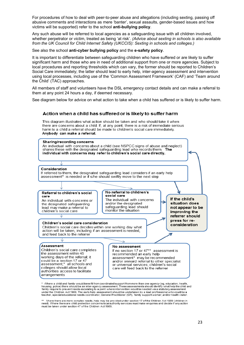For procedures of how to deal with peer-to-peer abuse and allegations (including sexting, passing off abusive comments and interactions as mere 'banter', sexual assaults, gender-based issues and how victims will be supported) refer to the school **anti-bullying policy**.

Any such abuse will be referred to local agencies as a safeguarding issue with all children involved, whether perpetrator or victim, treated as being 'at risk'. *(Advice about sexting in schools is also available from the UK Council for Child Internet Safety (UKCCIS): Sexting in schools and colleges.)*

See also the school **anti-cyber bullying policy** and the **e-safety policy**.

It is important to differentiate between safeguarding children who have suffered or are likely to suffer significant harm and those who are in need of additional support from one or more agencies. Subject to local procedures and reporting thresholds which can vary, the former should be reported to Children's Social Care immediately; the latter should lead to early help, inter-agency assessment and intervention using local processes, including use of the 'Common Assessment Framework' (CAF) and 'Team around the Child' (TAC) approaches.

All members of staff and volunteers have the DSL emergency contact details and can make a referral to them at any point 24 hours a day, if deemed necessary.

See diagram below for advice on what action to take when a child has suffered or is likely to suffer harm.

#### Action when a child has suffered or is likely to suffer harm

This diagram illustrates what action should be taken and who should take it when there are concerns about a child. If, at any point, there is a risk of immediate serious harm to a child a referral should be made to children's social care immediately. Anybody can make a referral.



housing, police) there should be an inter-agency assessment. These assessments should identify what help the child and family require to prevent needs escalating to a point where intervention would be needed via a statutory assessment under the Children. Act 1989. The early help assessment should be undertaken by a lead professional who could be a<br>teacher. special educational needs coordinator. General Practitioner (GP), family support worker, and/or he

Where there are more complex needs, help may be provided under section 17 of the Children Act 1989 (children in need). Where there are child protection concerns local authority services must make enquiries and decide if any action must be taken under section 47 of the Children Act 1989.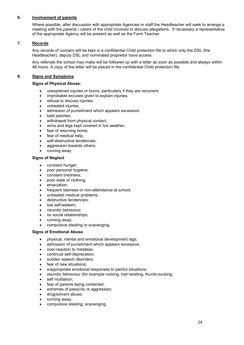#### **6. Involvement of parents**

Where possible, after discussion with appropriate Agencies or staff the Headteacher will seek to arrange a meeting with the parents / carers of the child involved to discuss allegations. If necessary a representative of the appropriate Agency will be present as well as the Form Teacher.

# **7. Records**

Any records of concern will be kept in a confidential Child protection file to which only the DSL (the Headteacher), deputy DSL and nominated proprietor have access.

Any referrals the school may make will be followed up with a letter as soon as possible and always within 48 hours. A copy of the letter will be placed in the confidential Child protection file.

#### **8. Signs and Symptoms**

#### **Signs of Physical Abuse:**

- unexplained injuries or burns, particularly if they are recurrent;
- improbable excuses given to explain injuries;
- refusal to discuss injuries;
- untreated injuries;
- admission of punishment which appears excessive;
- bald patches;
- withdrawal from physical contact:
- arms and legs kept covered in hot weather;
- fear of returning home:
- fear of medical help:
- self-destructive tendencies;
- aggression towards others;
- running away

#### **Signs of Neglect**

- constant hunger;
- poor personal hygiene;
- constant tiredness;
- poor state of clothing;
- emaciation;
- frequent lateness or non-attendance at school;
- untreated medical problems;
- destructive tendencies:
- low self-esteem;
- neurotic behaviour;
- no social relationships;
- running away;
- compulsive stealing or scavenging.

#### **Signs of Emotional Abuse**

- physical, mental and emotional development lags;
- admission of punishment which appears excessive;
- over-reaction to mistakes;
- continual self-deprecation;
- sudden speech disorders;
- fear of new situations;
- inappropriate emotional responses to painful situations:
- neurotic behaviour (for example rocking, hair-twisting, thumb-sucking;
- self mutilation:
- fear of parents being contacted;
- extremes of passivity or aggression;
- drug/solvent abuse;
- running away;
- compulsive stealing, scavenging.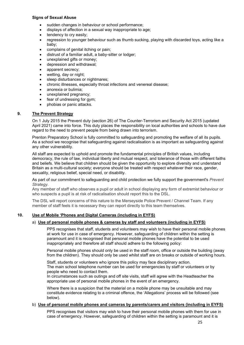#### **Signs of Sexual Abuse**

- sudden changes in behaviour or school performance;
- displays of affection in a sexual way inappropriate to age;
- tendency to cry easily;
- regression to younger behaviour such as thumb sucking, playing with discarded toys, acting like a baby;
- complains of genital itching or pain;
- distrust of a familiar adult, a baby-sitter or lodger;
- unexplained gifts or money;
- depression and withdrawal;
- apparent secrecy;
- wetting, day or night;
- sleep disturbances or nightmares:
- chronic illnesses, especially throat infections and venereal disease;
- anorexia or bulimia:
- unexplained pregnancy;
- fear of undressing for gym;
- phobias or panic attacks.

#### **9. The Prevent Strategy**

On 1 July 2015 the Prevent duty (section 26) of The Counter-Terrorism and Security Act 2015 (updated April 2021) came into force. This duty places the responsibility on local authorities and schools to have due regard to the need to prevent people from being drawn into terrorism.

Prenton Preparatory School is fully committed to safeguarding and promoting the welfare of all its pupils. As a school we recognise that safeguarding against radicalisation is as important as safeguarding against any other vulnerability.

All staff are expected to uphold and promote the fundamental principles of British values, including democracy, the rule of law, individual liberty and mutual respect, and tolerance of those with different faiths and beliefs. We believe that children should be given the opportunity to explore diversity and understand Britain as a multi-cultural society; everyone should be treated with respect whatever their race, gender, sexuality, religious belief, special need, or disability.

As part of our commitment to safeguarding and child protection we fully support the government's *Prevent Strategy.*

Any member of staff who observes a pupil or adult in school displaying any form of extremist behaviour or who suspects a pupil is at risk of radicalisation should report this to the DSL.

The DSL will report concerns of this nature to the Merseyside Police Prevent / Channel Team. If any member of staff feels it is necessary they can report directly to this team themselves.

#### **10. Use of Mobile 'Phones and Digital Cameras (including in EYFS)**

#### a) **Use of personal mobile phones & cameras by staff and volunteers (including in EYFS)**

PPS recognises that staff, students and volunteers may wish to have their personal mobile phones at work for use in case of emergency. However, safeguarding of children within the setting is paramount and it is recognised that personal mobile phones have the potential to be used inappropriately and therefore all staff should adhere to the following policy:

Personal mobile phones should only be used in the staff room, office or outside the building (away from the children). They should only be used whilst staff are on breaks or outside of working hours.

Staff, students or volunteers who ignore this policy may face disciplinary action. The main school telephone number can be used for emergencies by staff or volunteers or by people who need to contact them.

In circumstances such as outings and off site visits, staff will agree with the Headteacher the appropriate use of personal mobile phones in the event of an emergency.

Where there is a suspicion that the material on a mobile phone may be unsuitable and may constitute evidence relating to a criminal offence, the 'Allegations' process will be followed (see below).

#### b) **Use of personal mobile phones and cameras by parents/carers and visitors (including in EYFS)**

PPS recognises that visitors may wish to have their personal mobile phones with them for use in case of emergency. However, safeguarding of children within the setting is paramount and it is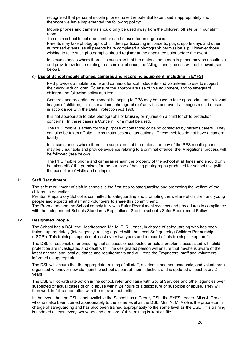recognised that personal mobile phones have the potential to be used inappropriately and therefore we have implemented the following policy:

Mobile phones and cameras should only be used away from the children, off site or in our staff room.

The main school telephone number can be used for emergencies.

Parents may take photographs of children participating in concerts, plays, sports days and other authorised events, as all parents have completed a photograph permission slip. However those wishing to take such photographs should register at the appointed point before the event.

In circumstances where there is a suspicion that the material on a mobile phone may be unsuitable and provide evidence relating to a criminal offence, the 'Allegations' process will be followed (see below).

#### c) **Use of School mobile phones, cameras and recording equipment (including in EYFS)**

PPS provides a mobile phone and cameras for staff, students and volunteers to use to support their work with children. To ensure the appropriate use of this equipment, and to safeguard children, the following policy applies:

Cameras and recording equipment belonging to PPS may be used to take appropriate and relevant images of children, i.e. observations, photographs of activities and events. Images must be used in accordance with the Data Protection Act 1998.

It is not appropriate to take photographs of bruising or injuries on a child for child protection concerns. In these cases a Concern Form must be used.

The PPS mobile is solely for the purpose of contacting or being contacted by parents/carers. They can also be taken off site in circumstances such as outings. These mobiles do not have a camera facility.

In circumstances where there is a suspicion that the material on any of the PPS mobile phones may be unsuitable and provide evidence relating to a criminal offence, the 'Allegations' process will be followed (see below).

The PPS mobile phone and cameras remain the property of the school at all times and should only be taken off of the premises for the purpose of having photographs produced for school use (with the exception of visits and outings).

#### **11. Staff Recruitment**

The safe recruitment of staff in schools is the first step to safeguarding and promoting the welfare of the children in education.

Prenton Preparatory School is committed to safeguarding and promoting the welfare of children and young people and expects all staff and volunteers to share this commitment.

The Proprietors and the School comply fully with Safer Recruitment systems and procedures in compliance with the Independent Schools Standards Regulations. See the school's Safer Recruitment Policy.

#### **12. Designated People**

The School has a DSL, the Headteacher, Mr. M. T. R. Jones, in charge of safeguarding who has been trained appropriately (inter-agency training agreed with the Local Safeguarding Children Partnership (LSCP)). This training is updated at least every two years and a record of this training is kept on file.

The DSL is responsible for ensuring that all cases of suspected or actual problems associated with child protection are investigated and dealt with. The designated person will ensure that he/she is aware of the latest national and local guidance and requirements and will keep the Proprietors, staff and volunteers informed as appropriate

The DSL will ensure that the appropriate training of all staff, academic and non academic, and volunteers is organised whenever new staff join the school as part of their induction, and is updated at least every 2 years.

The DSL will co-ordinate action in the school, refer and liaise with Social Services and other agencies over suspected or actual cases of child abuse within 24 hours of a disclosure or suspicion of abuse. They will then work in full co-operation with the relevant authorities.

In the event that the DSL is not available the School has a Deputy DSL, the EYFS Leader, Miss J. Orme, who has also been trained appropriately to the same level as the DSL. Mrs. N. M. Aloé is the proprietor in charge of safeguarding and has also been trained appropriately to the same level as the DSL. This training is updated at least every two years and a record of this training is kept on file.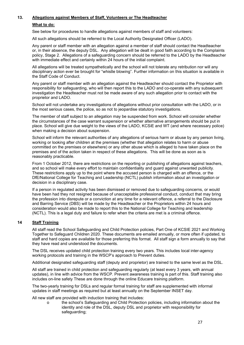# **13. Allegations against Members of Staff, Volunteers or The Headteacher**

# **What to do:**

See below for procedures to handle allegations against members of staff and volunteers:

All such allegations should be referred to the Local Authority Designated Officer (LADO).

Any parent or staff member with an allegation against a member of staff should contact the Headteacher or, in their absence, the deputy DSL. Any allegation will be dealt in good faith according to the Complaints policy, Stage 2. Allegations of a safeguarding concern should be referred to the LADO by the Headteacher with immediate effect and certainly within 24 hours of the initial complaint.

All allegations will be treated sympathetically and the school will not tolerate any retribution nor will any disciplinary action ever be brought for "whistle blowing". Further information on this situation is available in the Staff Code of Conduct.

Any parent or staff member with an allegation against the Headteacher should contact the Proprietor with responsibility for safeguarding, who will then report this to the LADO and co-operate with any subsequent investigation the Headteacher must not be made aware of any such allegation prior to contact with the proprietor and LADO.

School will not undertake any investigations of allegations without prior consultation with the LADO, or in the most serious cases, the police, so as not to jeopardise statutory investigations.

The member of staff subject to an allegation may be suspended from work. School will consider whether the circumstances of the case warrant suspension or whether alternative arrangements should be put in place. School will give due weight to the views of the LADO, KCSiE and WT (and where necessary police) when making a decision about suspension.

School will inform the relevant authorities of any allegations of serious harm or abuse by any person living, working or looking after children at the premises (whether that allegation relates to harm or abuse committed on the premises or elsewhere) or any other abuse which is alleged to have taken place on the premises and of the action taken in respect of these allegations. This will be done as soon as is reasonably practicable.

From 1 October 2012, there are restrictions on the reporting or publishing of allegations against teachers, and so school will make every effort to maintain confidentiality and guard against unwanted publicity. These restrictions apply up to the point where the accused person is charged with an offence, or the DfE/National College for Teaching and Leadership (NCTL) publish information about an investigation or decision in a disciplinary case.

If a person in regulated activity has been dismissed or removed due to safeguarding concerns, or would have been had they not resigned because of unacceptable professional conduct, conduct that may bring the profession into disrepute or a conviction at any time for a relevant offence, a referral to the Disclosure and Barring Service (DBS) will be made by the Headteacher or the Proprietors within 24 hours and consideration would also be made to report this to the National College for Teaching and leadership (NCTL). This is a legal duty and failure to refer when the criteria are met is a criminal offence.

# **14 Staff Training**

All staff read the School Safeguarding and Child Protection policies, Part One of KCSIE 2021 and Working Together to Safeguard Children 2020. These documents are emailed annually, or more often if updated, to staff and hard copies are available for those preferring this format. All staff sign a form annually to say that they have read and understood the documents.

The DSL receives updated child protection training every two years. This includes local inter-agency working protocols and training in the WSCP's approach to Prevent duties.

Additional designated safeguarding staff (deputy and proprietor) are trained to the same level as the DSL.

All staff are trained in child protection and safeguarding regularly (at least every 3 years, with annual updates), in line with advice from the WSCP. Prevent awareness training is part of this. Staff training also includes on-line safety These are done through the online Educare training platform.

The two-yearly training for DSLs and regular formal training for staff are supplemented with informal updates in staff meetings as required but at least annually on the September INSET day.

All new staff are provided with induction training that includes:

o the school's Safeguarding and Child Protection policies, including information about the identity and role of the DSL, deputy DSL and proprietor with responsibility for safeguarding;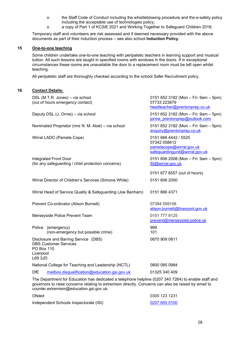- o the Staff Code of Conduct including the whistleblowing procedure and the e-safety policy including the acceptable use of technologies policy;
- o a copy of Part 1 of KCSiE 2021 and Working Together to Safeguard Children 2018;

Temporary staff and volunteers are risk assessed and if deemed necessary provided with the above documents as part of their induction process – see also school **Induction Policy.**

# **15 One-to-one teaching**

Some children undertake one-to-one teaching with peripatetic teachers in learning support and musical tuition. All such lessons are taught in specified rooms with windows in the doors. If in exceptional circumstances these rooms are unavailable the door to a replacement room must be left open whilst teaching.

All peripatetic staff are thoroughly checked according to the school Safer Recruitment policy.

#### **16 Contact Details:**

| DSL (M.T.R. Jones) - via school<br>(out of hours emergency contact)                                        | 0151 652 3182 (Mon - Fri: 9am - 5pm)<br>07733 223879<br>headteacher@prentonprep.co.uk              |
|------------------------------------------------------------------------------------------------------------|----------------------------------------------------------------------------------------------------|
| Deputy DSL (J. Orme) - via school                                                                          | 0151 652 3182 (Mon - Fri: 9am - 5pm)<br>jorme prentonprep@outlook.com                              |
| Nominated Proprietor (mrs N. M. Aloé) - via school                                                         | 0151 652 3182 (Mon - Fri: 9am - 5pm)<br>enquiry@prentonprep.co.uk                                  |
| Wirral LADO (Pamela Cope)                                                                                  | 0151 666 4442 / 5525<br>07342 058612<br>pamelacope@wirral.gov.uk<br>safeguardingunit@wirral.gov.uk |
| <b>Integrated Front Door</b><br>(for any safeguarding / child protection concerns)                         | 0151 606 2008 (Mon - Fri: 9am - 5pm)<br>ifd@wirral.gov.uk                                          |
|                                                                                                            | 0151 677 6557 (out of hours)                                                                       |
| Wirral Director of Children's Services (Simone White)                                                      | 0151 606 2000                                                                                      |
| Wirral Head of Service Quality & Safeguarding (Joe Banham)                                                 | 0151 666 4371                                                                                      |
| Prevent Co-ordinator (Alison Burnett)                                                                      | 07394 559106<br>alison.burnett@liverpool.gov.uk                                                    |
| Merseyside Police Prevent Team                                                                             | 0151 777 8125<br>prevent@merseyside.police.uk                                                      |
| Police (emergency)<br>(non-emergency but possible crime)                                                   | 999<br>101                                                                                         |
| Disclosure and Barring Service (DBS)<br><b>DBS Customer Services</b><br>PO Box 110<br>Liverpool<br>L69 3JD | 0870 909 0811                                                                                      |
| National College for Teaching and Leadership (NCTL)                                                        | 0800 085 0984                                                                                      |
|                                                                                                            |                                                                                                    |

counter.extremism@education.gsi.gov.uk.

| Ofsted                                 | 0300 123 1231 |
|----------------------------------------|---------------|
| Independent Schools Inspectorate (ISI) | 0207 600 0100 |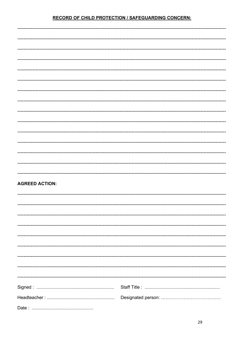# **RECORD OF CHILD PROTECTION / SAFEGUARDING CONCERN:**

| <b>AGREED ACTION:</b> |  |
|-----------------------|--|
|                       |  |
|                       |  |
|                       |  |
|                       |  |
|                       |  |
|                       |  |
|                       |  |
|                       |  |
|                       |  |
|                       |  |
|                       |  |
|                       |  |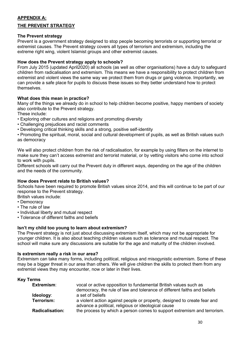# **APPENDIX A:**

# **THE PREVENT STRATEGY**

#### **The Prevent strategy**

Prevent is a government strategy designed to stop people becoming terrorists or supporting terrorist or extremist causes. The Prevent strategy covers all types of terrorism and extremism, including the extreme right wing, violent Islamist groups and other extremist causes.

# **How does the Prevent strategy apply to schools?**

From July 2015 (updated April2020) all schools (as well as other organisations) have a duty to safeguard children from radicalisation and extremism. This means we have a responsibility to protect children from extremist and violent views the same way we protect them from drugs or gang violence. Importantly, we can provide a safe place for pupils to discuss these issues so they better understand how to protect themselves.

#### **What does this mean in practice?**

Many of the things we already do in school to help children become positive, happy members of society also contribute to the Prevent strategy.

These include:

- Exploring other cultures and religions and promoting diversity
- Challenging prejudices and racist comments
- Developing critical thinking skills and a strong, positive self-identity

• Promoting the spiritual, moral, social and cultural development of pupils, as well as British values such as democracy

We will also protect children from the risk of radicalisation, for example by using filters on the internet to make sure they can't access extremist and terrorist material, or by vetting visitors who come into school to work with pupils.

Different schools will carry out the Prevent duty in different ways, depending on the age of the children and the needs of the community.

#### **How does Prevent relate to British values?**

Schools have been required to promote British values since 2014, and this will continue to be part of our response to the Prevent strategy.

British values include:

- Democracy
- The rule of law
- Individual liberty and mutual respect
- Tolerance of different faiths and beliefs

# **Isn't my child too young to learn about extremism?**

The Prevent strategy is not just about discussing extremism itself, which may not be appropriate for younger children. It is also about teaching children values such as tolerance and mutual respect. The school will make sure any discussions are suitable for the age and maturity of the children involved.

#### **Is extremism really a risk in our area?**

Extremism can take many forms, including political, religious and misogynistic extremism. Some of these may be a bigger threat in our area than others. We will give children the skills to protect them from any extremist views they may encounter, now or later in their lives.

#### **Key Terms**

| Extremism:             | vocal or active opposition to fundamental British values such as                                                                |
|------------------------|---------------------------------------------------------------------------------------------------------------------------------|
|                        | democracy, the rule of law and tolerance of different faiths and beliefs                                                        |
| Ideology:              | a set of beliefs                                                                                                                |
| Terrorism:             | a violent action against people or property, designed to create fear and<br>advance a political, religious or ideological cause |
| <b>Radicalisation:</b> | the process by which a person comes to support extremism and terrorism.                                                         |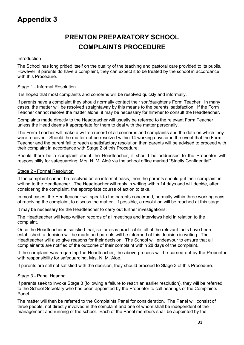# **PRENTON PREPARATORY SCHOOL COMPLAINTS PROCEDURE**

# Introduction

The School has long prided itself on the quality of the teaching and pastoral care provided to its pupils. However, if parents do have a complaint, they can expect it to be treated by the school in accordance with this Procedure.

# Stage 1 - Informal Resolution

It is hoped that most complaints and concerns will be resolved quickly and informally.

If parents have a complaint they should normally contact their son/daughter's Form Teacher. In many cases, the matter will be resolved straightaway by this means to the parents' satisfaction. If the Form Teacher cannot resolve the matter alone, it may be necessary for him/her to consult the Headteacher.

Complaints made directly to the Headteacher will usually be referred to the relevant Form Teacher unless the Head deems it appropriate for them to deal with the matter personally.

The Form Teacher will make a written record of all concerns and complaints and the date on which they were received. Should the matter not be resolved within 14 working days or in the event that the Form Teacher and the parent fail to reach a satisfactory resolution then parents will be advised to proceed with their complaint in accordance with Stage 2 of this Procedure.

Should there be a complaint about the Headteacher, it should be addressed to the Proprietor with responsibility for safeguarding, Mrs. N. M. Aloé via the school office marked "Strictly Confidential".

### Stage 2 - Formal Resolution

If the complaint cannot be resolved on an informal basis, then the parents should put their complaint in writing to the Headteacher. The Headteacher will reply in writing within 14 days and will decide, after considering the complaint, the appropriate course of action to take.

In most cases, the Headteacher will speak to the parents concerned, normally within three working days of receiving the complaint, to discuss the matter. If possible, a resolution will be reached at this stage.

It may be necessary for the Headteacher to carry out further investigations.

The Headteacher will keep written records of all meetings and interviews held in relation to the complaint.

Once the Headteacher is satisfied that, so far as is practicable, all of the relevant facts have been established, a decision will be made and parents will be informed of this decision in writing. The Headteacher will also give reasons for their decision. The School will endeavour to ensure that all complainants are notified of the outcome of their complaint within 28 days of the complaint.

If the complaint was regarding the Headteacher, the above process will be carried out by the Proprietor with responsibility for safeguarding, Mrs. N. M. Aloé.

If parents are still not satisfied with the decision, they should proceed to Stage 3 of this Procedure.

# Stage 3 - Panel Hearing

If parents seek to invoke Stage 3 (following a failure to reach an earlier resolution), they will be referred to the School Secretary who has been appointed by the Proprietor to call hearings of the Complaints Panel.

The matter will then be referred to the Complaints Panel for consideration. The Panel will consist of three people, not directly involved in the complaint and one of whom shall be independent of the management and running of the school. Each of the Panel members shall be appointed by the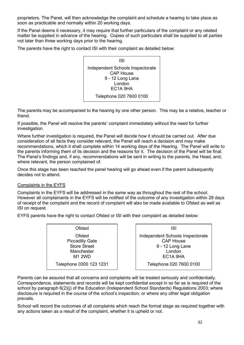proprietors. The Panel, will then acknowledge the complaint and schedule a hearing to take place as soon as practicable and normally within 20 working days.

If the Panel deems it necessary, it may require that further particulars of the complaint or any related matter be supplied in advance of the hearing. Copies of such particulars shall be supplied to all parties not later than three working days prior to the hearing.

The parents have the right to contact ISI with their complaint as detailed below:



The parents may be accompanied to the hearing by one other person. This may be a relative, teacher or friend.

If possible, the Panel will resolve the parents' complaint immediately without the need for further investigation.

Where further investigation is required, the Panel will decide how it should be carried out. After due consideration of all facts they consider relevant, the Panel will reach a decision and may make recommendations, which it shall complete within 14 working days of the Hearing. The Panel will write to the parents informing them of its decision and the reasons for it. The decision of the Panel will be final. The Panel's findings and, if any, recommendations will be sent in writing to the parents, the Head, and, where relevant, the person complained of.

Once this stage has been reached the panel hearing will go ahead even if the parent subsequently decides not to attend.

# Complaints in the EYFS

Complaints in the EYFS will be addressed in the same way as throughout the rest of the school. However all complainants in the EYFS will be notified of the outcome of any investigation within 28 days of receipt of the complaint and the record of complaint will also be made available to Ofsted as well as ISI on request.

EYFS parents have the right to contact Ofsted or ISI with their complaint as detailed below:

| Ofsted                  |  |
|-------------------------|--|
| Ofsted                  |  |
| <b>Piccadilly Gate</b>  |  |
| <b>Store Street</b>     |  |
| Manchester              |  |
| M1 2WD                  |  |
| Telephone 0300 123 1231 |  |

| ISI                                                                                                                     |
|-------------------------------------------------------------------------------------------------------------------------|
| Independent Schools Inspectorate<br><b>CAP House</b><br>9 - 12 Long Lane<br>I ondon<br>EC <sub>1</sub> A <sub>9HA</sub> |
| Telephone 020 7600 0100                                                                                                 |

Parents can be assured that all concerns and complaints will be treated seriously and confidentially. Correspondence, statements and records will be kept confidential except in so far as is required of the school by paragraph 6(2)(j) of the Education (Independent School Standards) Regulations 2003; where disclosure is required in the course of the school's inspection; or where any other legal obligation prevails.

School will record the outcomes of all complaints which reach the formal stage as required together with any actions taken as a result of the complaint, whether it is upheld or not.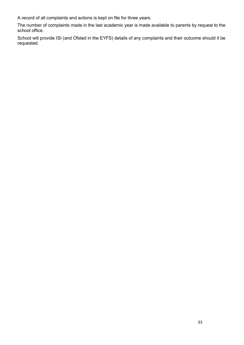A record of all complaints and actions is kept on file for three years.

The number of complaints made in the last academic year is made available to parents by request to the school office.

School will provide ISI (and Ofsted in the EYFS) details of any complaints and their outcome should it be requested.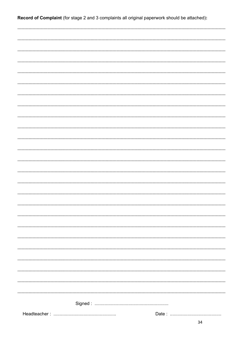Record of Complaint (for stage 2 and 3 complaints all original paperwork should be attached):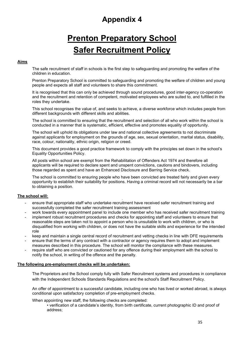# **Appendix 4**

# **Prenton Preparatory School Safer Recruitment Policy**

#### **Aims**

The safe recruitment of staff in schools is the first step to safeguarding and promoting the welfare of the children in education.

Prenton Preparatory School is committed to safeguarding and promoting the welfare of children and young people and expects all staff and volunteers to share this commitment.

It is recognised that this can only be achieved through sound procedures, good inter-agency co-operation and the recruitment and retention of competent, motivated employees who are suited to, and fulfilled in the roles they undertake.

This school recognises the value of, and seeks to achieve, a diverse workforce which includes people from different backgrounds with different skills and abilities.

The school is committed to ensuring that the recruitment and selection of all who work within the school is conducted in a manner that is systematic, efficient, effective and promotes equality of opportunity.

The school will uphold its obligations under law and national collective agreements to not discriminate against applicants for employment on the grounds of age, sex, sexual orientation, marital status, disability, race, colour, nationality, ethnic origin, religion or creed.

This document provides a good practice framework to comply with the principles set down in the school's Equality Opportunities Policy.

All posts within school are exempt from the Rehabilitation of Offenders Act 1974 and therefore all applicants will be required to declare spent and unspent convictions, cautions and bindovers, including those regarded as spent and have an Enhanced Disclosure and Barring Service check.

The school is committed to ensuring people who have been convicted are treated fairly and given every opportunity to establish their suitability for positions. Having a criminal record will not necessarily be a bar to obtaining a position.

#### **The school will:**

- ensure that appropriate staff who undertake recruitment have received safer recruitment training and successfully completed the safer recruitment training assessment
- work towards every appointment panel to include one member who has received safer recruitment training implement robust recruitment procedures and checks for appointing staff and volunteers to ensure that
- reasonable steps are taken not to appoint a person who is unsuitable to work with children, or who is disqualified from working with children, or does not have the suitable skills and experience for the intended role
- keep and maintain a single central record of recruitment and vetting checks in line with DFE requirements
- ensure that the terms of any contract with a contractor or agency requires them to adopt and implement measures described in this procedure. The school will monitor the compliance with these measures.
- require staff who are convicted or cautioned for any offence during their employment with the school to notify the school, in writing of the offence and the penalty.

#### **The following pre-employment checks will be undertaken:**

The Proprietors and the School comply fully with Safer Recruitment systems and procedures in compliance with the Independent Schools Standards Regulations and the school's Staff Recruitment Policy.

An offer of appointment to a successful candidate, including one who has lived or worked abroad, is always conditional upon satisfactory completion of pre-employment checks.

When appointing new staff, the following checks are completed:

• verification of a candidate's identity, from birth certificate, current photographic ID and proof of address;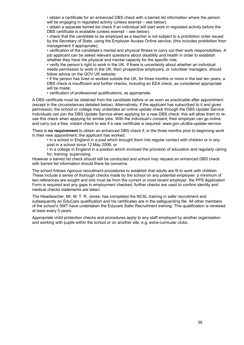• obtain a certificate for an enhanced DBS check with a barred list information where the person will be engaging in regulated activity (unless exempt – see below);

• obtain a separate barred list check if an individual will start work in regulated activity before the DBS certificate is available (unless exempt – see below);

• check that the candidate to be employed as a teacher is not subject to a prohibition order issued by the Secretary of State, using the Employer Access Online service; (this includes prohibition from management if appropriate);

• verification of the candidate's mental and physical fitness to carry out their work responsibilities. A job applicant can be asked relevant questions about disability and health in order to establish whether they have the physical and mental capacity for the specific role;

• verify the person's right to work in the UK. If there is uncertainty about whether an individual needs permission to work in the UK, then prospective employers, or volunteer managers, should follow advice on the GOV.UK website;

• if the person has lived or worked outside the UK, for three months or more in the last ten years, a DBS check is insufficient and further checks, including an EEA check, as considered appropriate will be made;

• verification of professional qualifications, as appropriate.

A DBS certificate must be obtained from the candidate before or as soon as practicable after appointment (except in the circumstances detailed below). Alternatively, if the applicant has subscribed to it and gives permission, the school or college may undertake an online update check through the DBS Update Service. Individuals can join the DBS Update Service when applying for a new DBS check; this will allow them to reuse this check when applying for similar jobs. With the individual's consent, their employer can go online and carry out a free, instant check to see if a new certificate is required: www.gov.uk/dbs-update-service.

There is **no requirement** to obtain an enhanced DBS check if, in the three months prior to beginning work in their new appointment, the applicant has worked:

• in a school in England in a post which brought them into regular contact with children or in any post in a school since 12 May 2006; or

• in a college in England in a position which involved the provision of education and regularly caring for, training, supervising

However a barred list check should still be conducted and school may request an enhanced DBS check with barred list information should there be concerns.

The school follows rigorous recruitment procedures to establish that adults are fit to work with children. These include a series of thorough checks made by the school on any potential employee: a minimum of two references are sought and one must be from the current or most recent employer, the PPS Application Form is required and any gaps in employment checked, further checks are used to confirm identity and medical checks statements are taken.

The Headteacher, Mr. M. T. R. Jones, has completed the NCSL training in safer recruitment and subsequently an EduCare qualification and his certificates are in the safequarding file. All other members of the school's SMT have undertaken the Educare Safer Recruitment training. This qualification is renewed at least every 5 years.

Appropriate child protection checks and procedures apply to any staff employed by another organisation and working with pupils within the school or on another site, e.g. extra-curricular clubs.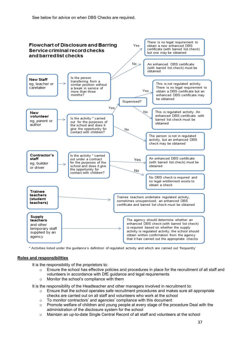

\* Activities listed under the guidance's definition of regulated activity and which are carried out 'frequently'

#### **Roles and responsibilities**

- It is the responsibility of the proprietors to:
	- o Ensure the school has effective policies and procedures in place for the recruitment of all staff and volunteers in accordance with DfE guidance and legal requirements
	- <sup>o</sup> Monitor the school's compliance with them-

It is the responsibility of the Headteacher and other managers involved in recruitment to:

- Ensure that the school operates safe recruitment procedures and makes sure all appropriate checks are carried out on all staff and volunteers who work at the school
- o To monitor contractors' and agencies' compliance with this document
- $\circ$  Promote welfare of children and young people at every stage of the procedure Deal with the administration of the disclosure system for the school
- $\circ$  Maintain an up-to-date Single Central Record of all staff and volunteers at the school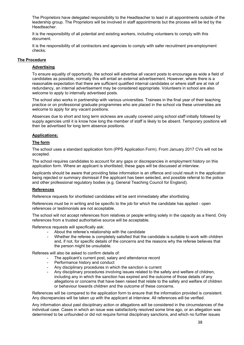The Proprietors have delegated responsibility to the Headteacher to lead in all appointments outside of the leadership group. The Proprietors will be involved in staff appointments but the process will be led by the Headteacher.

It is the responsibility of all potential and existing workers, including volunteers to comply with this document.

It is the responsibility of all contractors and agencies to comply with safer recruitment pre-employment checks.

#### **The Procedure**

#### **Advertising**

To ensure equality of opportunity, the school will advertise all vacant posts to encourage as wide a field of candidates as possible, normally this will entail an external advertisement. However, where there is a reasonable expectation that there are sufficient qualified internal candidates or where staff are at risk of redundancy, an internal advertisement may be considered appropriate. Volunteers in school are also welcome to apply to internally advertised posts.

The school also works in partnership with various universities. Trainees in the final year of their teaching practice or on professional graduate programmes who are placed in the school via these universities are welcome to apply for any vacant positions.

Absences due to short and long term sickness are usually covered using school staff initially followed by supply agencies until it is know how long the member of staff is likely to be absent. Temporary positions will then be advertised for long term absence positions.

#### **Applications:**

#### **The form**

The school uses a standard application form (PPS Application Form). From January 2017 CVs will not be accepted.

The school requires candidates to account for any gaps or discrepancies in employment history on this application form. Where an applicant is shortlisted, these gaps will be discussed at interview.

Applicants should be aware that providing false information is an offence and could result in the application being rejected or summary dismissal if the applicant has been selected, and possible referral to the police and other professional regulatory bodies (e.g. General Teaching Council for England).

#### **References**

Reference requests for shortlisted candidates will be sent immediately after shortlisting.

References must be in writing and be specific to the job for which the candidate has applied - open references or testimonials are not acceptable.

The school will not accept references from relatives or people writing solely in the capacity as a friend. Only references from a trusted authoritative source will be acceptable.

Reference requests will specifically ask:

- About the referee's relationship with the candidate
- Whether the referee is completely satisfied that the candidate is suitable to work with children and, if not, for specific details of the concerns and the reasons why the referee believes that the person might be unsuitable.

-

Referees will also be asked to confirm details of:

- The applicant's current post, salary and attendance record
- Performance history and conduct
- Any disciplinary procedures in which the sanction is current
- Any disciplinary procedures involving issues related to the safety and welfare of children, including any in which the sanction has expired and the outcome of those details of any allegations or concerns that have been raised that relate to the safety and welfare of children or behaviour towards children and the outcome of these concerns.

-

References will be compared to the application form to ensure that the information provided is consistent. Any discrepancies will be taken up with the applicant at interview. All references will be verified.

Any information about past disciplinary action or allegations will be considered in the circumstances of the individual case. Cases in which an issue was satisfactorily resolved some time ago, or an allegation was determined to be unfounded or did not require formal disciplinary sanctions, and which no further issues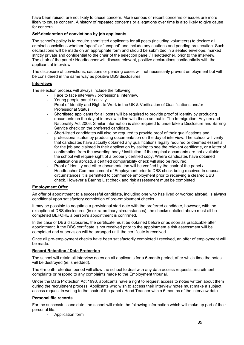have been raised, are not likely to cause concern. More serious or recent concerns or issues are more likely to cause concern. A history of repeated concerns or allegations over time is also likely to give cause for concern.

#### **Self-declaration of convictions by job applicants**

The school's policy is to require shortlisted applicants for all posts (including volunteers) to declare all criminal convictions whether "spent" or "unspent" and include any cautions and pending prosecution. Such declarations will be made on an appropriate form and should be submitted in a sealed envelope, marked strictly private and confidential to the chair of the selection panel / Headteacher, prior to the interview. The chair of the panel / Headteacher will discuss relevant, positive declarations confidentially with the applicant at interview.

The disclosure of convictions, cautions or pending cases will not necessarily prevent employment but will be considered in the same way as positive DBS disclosures.

#### **Interviews**

The selection process will always include the following:

- Face to face interview / professional interview,
- Young people panel / activity
- Proof of Identity and Right to Work in the UK & Verification of Qualifications and/or Professional Status.
- Shortlisted applicants for all posts will be required to provide proof of identity by producing documents on the day of interview in line with those set out in The Immigration, Asylum and Nationality Act 2006. Similar information is also required to undertake a Disclosure and Barring Service check on the preferred candidate.
- Short-listed candidates will also be required to provide proof of their qualifications and professional status by producing documentation on the day of interview. The school will verify that candidates have actually obtained any qualifications legally required or deemed essential for the job and claimed in their application by asking to see the relevant certificate, or a letter of confirmation from the awarding body / institution. If the original documents are not available, the school will require sight of a properly certified copy. Where candidates have obtained qualifications abroad, a certified comparability check will also be required.
- Proof of identity and other documentation will be verified by the chair of the panel / Headteacher Commencement of Employment prior to DBS check being received In unusual circumstances it is permitted to commence employment prior to receiving a cleared DBS check. However a Barring List check and risk assessment must be completed

-

#### **Employment Offer**

An offer of appointment to a successful candidate, including one who has lived or worked abroad, is always conditional upon satisfactory completion of pre-employment checks.

It may be possible to negotiate a provisional start date with the preferred candidate, however, with the exception of DBS disclosures (in extra-ordinary circumstances), the checks detailed above must all be completed BEFORE a person's appointment is confirmed.

In the case of DBS disclosures, the certificate must be obtained before or as soon as practicable after appointment. It the DBS certificate is not received prior to the appointment a risk assessment will be completed and supervision will be arranged until the certificate is received.

Once all pre-employment checks have been satisfactorily completed / received, an offer of employment will be made.

#### **Record Retention / Data Protection**

The school will retain all interview notes on all applicants for a 6-month period, after which time the notes will be destroyed (ie: shredded).

The 6-month retention period will allow the school to deal with any data access requests, recruitment complaints or respond to any complaints made to the Employment tribunal.

Under the Data Protection Act 1998, applicants have a right to request access to notes written about them during the recruitment process. Applicants who wish to access their interview notes must make a subject access request in writing to the chair of the panel / Head Teacher within 6 months of the interview date.

#### **Personal file records**

For the successful candidate, the school will retain the following information which will make up part of their personal file:

Application form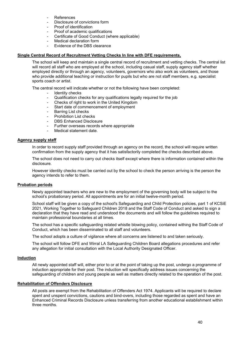- **References**
- Disclosure of convictions form
- Proof of identification
- Proof of academic qualifications
- Certificate of Good Conduct (where applicable)
- Medical declaration form
- Evidence of the DBS clearance

#### **Single Central Record of Recruitment Vetting Checks In line with DFE requirements,**

The school will keep and maintain a single central record of recruitment and vetting checks. The central list will record all staff who are employed at the school, including casual staff, supply agency staff whether employed directly or through an agency, volunteers, governors who also work as volunteers, and those who provide additional teaching or instruction for pupils but who are not staff members, e.g. specialist sports coach or artist.

The central record will indicate whether or not the following have been completed:

- Identity checks
- Qualification checks for any qualifications legally required for the job
- Checks of right to work in the United Kingdom
- Start date of commencement of employment
- Barring List checks
- Prohibition List checks
- DBS Enhanced Disclosure
- Further overseas records where appropriate
- Medical statement date.

#### **Agency supply staff**

In order to record supply staff provided through an agency on the record, the school will require written confirmation from the supply agency that it has satisfactorily completed the checks described above.

The school does not need to carry out checks itself except where there is information contained within the disclosure.

However identity checks must be carried out by the school to check the person arriving is the person the agency intends to refer to them.

#### **Probation periods**

Newly appointed teachers who are new to the employment of the governing body will be subject to the school's probationary period. All appointments are for an initial twelve-month period.

School staff will be given a copy of the school's Safeguarding and Child Protection policies, part 1 of KCSiE 2021, Working Together to Safeguard Children 2018 and the Staff Code of Conduct and asked to sign a declaration that they have read and understood the documents and will follow the guidelines required to maintain professional boundaries at all times.

The school has a specific safeguarding related whistle blowing policy, contained withing the Staff Code of Conduct, which has been disseminated to all staff and volunteers.

The school adopts a culture of vigilance where all concerns are listened to and taken seriously.

The school will follow DFE and Wirral LA Safeguarding Children Board allegations procedures and refer any allegation for initial consultation with the Local Authority Designated Officer.

#### **Induction**

All newly appointed staff will, either prior to or at the point of taking up the post, undergo a programme of induction appropriate for their post. The induction will specifically address issues concerning the safeguarding of children and young people as well as matters directly related to the operation of the post.

#### **Rehabilitation of Offenders Disclosure**

All posts are exempt from the Rehabilitation of Offenders Act 1974. Applicants will be required to declare spent and unspent convictions, cautions and bind-overs, including those regarded as spent and have an Enhanced Criminal Records Disclosure unless transferring from another educational establishment within three months.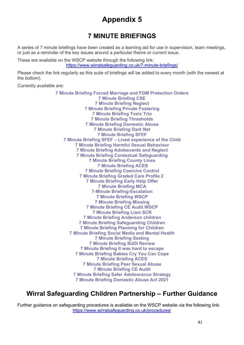# **Appendix 5**

# **7 MINUTE BRIEFINGS**

A series of 7 minute briefings have been created as a learning aid for use in supervision, team meetings, or just as a reminder of the key issues around a particular theme or current issue.

These are available on the WSCP website through the following link: <https://www.wirralsafeguarding.co.uk/7-minute-briefings/>

Please check the link regularly as this suite of briefings will be added to every month (with the newest at the bottom).

Currently available are:

**[7 Minute](https://www.wirralsafeguarding.co.uk/wp-content/uploads/2016/10/Forced-Marriage-and-FGM-Protection-Orders-7-Minute-Briefing.pdf) Briefing Forced [Marriage and](https://www.wirralsafeguarding.co.uk/wp-content/uploads/2016/10/Forced-Marriage-and-FGM-Protection-Orders-7-Minute-Briefing.pdf) [FGM](https://www.wirralsafeguarding.co.uk/wp-content/uploads/2016/10/Forced-Marriage-and-FGM-Protection-Orders-7-Minute-Briefing.pdf) [Protection](https://www.wirralsafeguarding.co.uk/wp-content/uploads/2016/10/Forced-Marriage-and-FGM-Protection-Orders-7-Minute-Briefing.pdf) [Orders](https://www.wirralsafeguarding.co.uk/wp-content/uploads/2016/10/Forced-Marriage-and-FGM-Protection-Orders-7-Minute-Briefing.pdf) [7 Minute](https://www.wirralsafeguarding.co.uk/wp-content/uploads/2021/02/CSE-7minute-briefing.pdf) Briefing CSE [7 Minute](https://www.wirralsafeguarding.co.uk/wp-content/uploads/2021/02/Neglect-7-Minute-Briefing-1.pdf) Briefing Neglect 7 Minute Briefing Private [Fostering](https://www.wirralsafeguarding.co.uk/wp-content/uploads/2019/05/7-min-Briefing-Private-Fostering.pdf) [7 Minute](https://www.wirralsafeguarding.co.uk/wp-content/uploads/2021/02/Toxic-Trio-7minutebriefing.pdf) Briefing Toxic Trio 7 Minute Briefing [Thresholds](https://www.wirralsafeguarding.co.uk/wp-content/uploads/2016/10/Thresholds-7minutebriefing.pdf) 7 Minute Briefing [Domestic](https://www.wirralsafeguarding.co.uk/wp-content/uploads/2016/10/Domestic-abuse7minutebriefing.pdf) Abuse [7 Minute](https://www.wirralsafeguarding.co.uk/wp-content/uploads/2016/10/Dark-Net-7minute-briefing-1.pdf) Briefing Dark Net [7 Minute](https://www.wirralsafeguarding.co.uk/wp-content/uploads/2016/10/SFEF-7-min-Briefing-1.pdf) Briefing SFEF 7 Minute Briefing [SFEF – Lived](https://www.wirralsafeguarding.co.uk/wp-content/uploads/2018/04/Lived-experience-of-the-Child-7-minute-briefing.pdf) experience of the Child 7 Minute Briefing Harmful Sexual [Behaviour](https://www.wirralsafeguarding.co.uk/wp-content/uploads/2018/05/Harmful-Sexual-Behaviour-7-minute-briefing.pdf) 7 Minute Briefing [Adolescents](https://www.wirralsafeguarding.co.uk/wp-content/uploads/2018/09/Adolescents-and-Neglect-7-minute-briefing.pdf) and Neglect 7 Minute Briefing Contextual [Safeguarding](https://www.wirralsafeguarding.co.uk/wp-content/uploads/2018/09/Contextual-Safeguarding-7-minute-briefing.pdf) [7 Minute](https://www.wirralsafeguarding.co.uk/wp-content/uploads/2018/10/County-Lines-7-Minute-Briefing.pdf) Briefing County Lines  [7 Minute](https://www.wirralsafeguarding.co.uk/wp-content/uploads/2019/02/ACEs-7-minute-briefing.pdf) Briefing ACES 7 Minute Briefing [Coercive](https://www.wirralsafeguarding.co.uk/wp-content/uploads/2019/02/Coercive-Control-7-minute-Briefing.pdf) Control 7 Minute Briefing [Graded Care](https://www.wirralsafeguarding.co.uk/wp-content/uploads/2019/04/Graded-Care-Profile-2-7-Minute-Briefing.pdf) Profile 2 [7 Minute](https://www.wirralsafeguarding.co.uk/wp-content/uploads/2020/05/7-min-Briefing-Early-Help-Offer.pdf) Briefing Early Help Offer [7 Minute](https://www.wirralsafeguarding.co.uk/wp-content/uploads/2019/08/7-minute-briefing.pdf) Briefing MCA 7-Minute [Briefing-Escalation](https://www.wirralsafeguarding.co.uk/wp-content/uploads/2020/03/7-min-Briefing-Escalation.pdf) [7 Minute](https://www.wirralsafeguarding.co.uk/wp-content/uploads/2020/03/7-min-Briefing-WSCP.pdf) Briefing WSCP [7 Minute](https://www.wirralsafeguarding.co.uk/wp-content/uploads/2020/03/7-min-Briefing-Missing.pdf) Briefing Missing [7 Minute](https://www.wirralsafeguarding.co.uk/wp-content/uploads/2020/05/7-min-Briefing-CE-Audit-WSCP.pdf) Briefing CE Audit WSCP [7 Minute](https://www.wirralsafeguarding.co.uk/wp-content/uploads/2020/03/7-min-Briefing-Liam-SCR-A4.pdf) Briefing Liam SCR 7 Minute Briefing [Anderson](https://www.wirralsafeguarding.co.uk/wp-content/uploads/2020/04/7-minute-briefing-Anderson-children.pdf) children 7 Minute Briefing [Safeguarding](https://www.wirralsafeguarding.co.uk/wp-content/uploads/2020/04/7-minute-briefing-Safeguarding-Children.pdf) Children 7 Minute Briefing [Planning](https://www.wirralsafeguarding.co.uk/wp-content/uploads/2020/04/Planning-7-minute-briefing-final-version.pdf) for Children [7 Minute](https://www.wirralsafeguarding.co.uk/wp-content/uploads/2020/04/7-minute-briefing-social-media-and-mental-health.pdf) Briefing Social Media and Mental Health [7 Minute](https://www.wirralsafeguarding.co.uk/wp-content/uploads/2020/05/7-minute-briefing-sexting.pdf) Briefing Sexting [7 Minute](https://www.wirralsafeguarding.co.uk/wp-content/uploads/2020/08/7-min-Briefing-SUDI-Review.pdf) Briefing SUDI Review [7 Minute](https://www.wirralsafeguarding.co.uk/wp-content/uploads/2020/08/7-min-Briefing-It-was-hard-to-escape.pdf) Briefing It was hard to escape [7 Minute](https://www.wirralsafeguarding.co.uk/wp-content/uploads/2020/10/7-min-Briefing-Babies-Cry-You-Can-Cope.pdf) Briefing Babies Cry You Can Cope [7 Minute](https://www.wirralsafeguarding.co.uk/wp-content/uploads/2021/01/ACES-7-min-Briefing-WSCP.pdf) Briefing ACES [7 Minute](https://www.wirralsafeguarding.co.uk/wp-content/uploads/2021/04/7-Minute-Briefing-Peer-Sexual-Abuse.pdf) Briefing Peer Sexual Abuse [7 Minute](https://www.wirralsafeguarding.co.uk/wp-content/uploads/2021/05/7-min-Briefing-CE-Audit-WSCP.pdf) Briefing CE Audit 7 Minute Briefing Safer [Adolescence](https://www.wirralsafeguarding.co.uk/wp-content/uploads/2021/05/Safer-Adolescence-Strategy-7-Minute-Briefing-1.pdf) Strategy 7 Minute Briefing [Domestic](https://www.wirralsafeguarding.co.uk/wp-content/uploads/2021/05/7-Minute-Briefing-Domestic-Abuse-Act-2021.pdf) Abuse Act 2021**

# **Wirral Safeguarding Children Partnership – Further Guidance**

Further guidance on safeguarding procedures is available on the WSCP website via the following link: <https://www.wirralsafeguarding.co.uk/procedures/>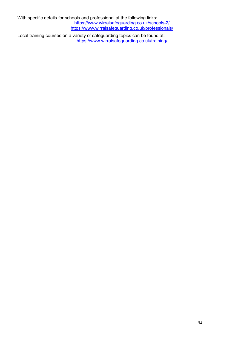With specific details for schools and professional at the following links: <https://www.wirralsafeguarding.co.uk/schools-2/> <https://www.wirralsafeguarding.co.uk/professionals/>

Local training courses on a variety of safeguarding topics can be found at: <https://www.wirralsafeguarding.co.uk/training/>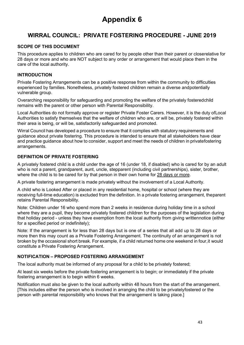# **Appendix 6**

# **WIRRAL COUNCIL: PRIVATE FOSTERING PROCEDURE - JUNE 2019**

# **SCOPE OF THIS DOCUMENT**

This procedure applies to children who are cared for by people other than their parent or close relative for 28 days or more and who are NOT subject to any order or arrangement that would place them in the care of the local authority.

# **INTRODUCTION**

Private Fostering Arrangements can be a positive response from within the community to difficulties experienced by families. Nonetheless, privately fostered children remain a diverse andpotentially vulnerable group.

Overarching responsibility for safeguarding and promoting the welfare of the privately fosteredchild remains with the parent or other person with Parental Responsibility.

Local Authorities do not formally approve or register Private Foster Carers. However, it is the duty ofLocal Authorities to satisfy themselves that the welfare of children who are, or will be, privately fostered within their area is being, or will be, satisfactorily safeguarded and promoted.

Wirral Council has developed a procedure to ensure that it complies with statutory requirements and guidance about private fostering. This procedure is intended to ensure that all stakeholders have clear and practice guidance about how to consider, support and meet the needs of children in privatefostering arrangements.

# **DEFINITION OF PRIVATE FOSTERING**

A privately fostered child is a child under the age of 16 (under 18, if disabled) who is cared for by an adult who is not a parent, grandparent, aunt, uncle, stepparent (including civil partnerships), sister, brother, where the child is to be cared for by that person in their own home for 28 days or more.

A private fostering arrangement is made privately without the involvement of a Local Authority.

A child who is Looked After or placed in any residential home, hospital or school (where they are receiving full-time education) is excluded from the definition. In a private fostering arrangement, theparent retains Parental Responsibility.

Note: Children under 16 who spend more than 2 weeks in residence during holiday time in a school where they are a pupil, they become privately fostered children for the purposes of the legislation during that holiday period - unless they have exemption from the local authority from giving writtennotice (either for a specified period or indefinitely);

Note: If the arrangement is for less than 28 days but is one of a series that all add up to 28 days or more then this may count as a Private Fostering Arrangement. The continuity of an arrangement is not broken by the occasional short break. For example, if a child returned home one weekend in four,it would constitute a Private Fostering Arrangement.

# **NOTIFICATION – PROPOSED FOSTERING ARRANGEMENT**

The local authority must be informed of any proposal for a child to be privately fostered;

At least six weeks before the private fostering arrangement is to begin; or immediately if the private fostering arrangement is to begin within 6 weeks.

Notification must also be given to the local authority within 48 hours from the start of the arrangement. [This includes either the person who is involved in arranging the child to be privatelyfostered or the person with parental responsibility who knows that the arrangement is taking place.]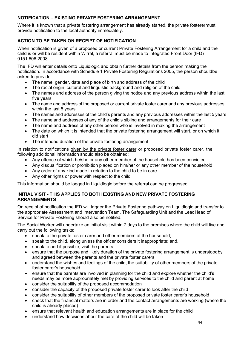# **NOTIFICATION – EXISTING PRIVATE FOSTERING ARRANGEMENT**

Where it is known that a private fostering arrangement has already started, the private fosterermust provide notification to the local authority immediately.

# **ACTION TO BE TAKEN ON RECEIPT OF NOTIFICATION**

When notification is given of a proposed or current Private Fostering Arrangement for a child and the child is or will be resident within Wirral, a referral must be made to Integrated Front Door (IFD) 0151 606 2008.

The IFD will enter details onto Liquidlogic and obtain further details from the person making the notification. In accordance with Schedule 1 Private Fostering Regulations 2005, the person shouldbe asked to provide:

- The name, gender, date and place of birth and address of the child
- The racial origin, cultural and linguistic background and religion of the child
- The names and address of the person giving the notice and any previous address within the last five years
- The name and address of the proposed or current private foster carer and any previous addresses within the last 5 years
- The names and addresses of the child's parents and any previous addresses within the last 5 years
- The name and addresses of any of the child's sibling and arrangements for their care
- The name and address of any other person who is involved in making the arrangement
- The date on which it is intended that the private fostering arrangement will start, or on which it did start
- The intended duration of the private fostering arrangement

In relation to notifications given by the private foster carer or proposed private foster carer, the following additional information should also be obtained:

- Any offence of which he/she or any other member of the household has been convicted
- Any disqualification or prohibition placed on him/her or any other member of the household
- Any order of any kind made in relation to the child to be in care
- Any other rights or power with respect to the child

• This information should be logged in Liquidlogic before the referral can be progressed.

# **INITIAL VISIT - THIS APPLIES TO BOTH EXISTING AND NEW PRIVATE FOSTERING ARRANGEMENTS**

On receipt of notification the IFD will trigger the Private Fostering pathway on Liquidlogic and transfer to the appropriate Assessment and Intervention Team. The Safeguarding Unit and the LeadHead of Service for Private Fostering should also be notified.

The Social Worker will undertake an initial visit within 7 days to the premises where the child will live and carry out the following tasks:

- speak to the private foster carer and other members of the household:
- speak to the child, along unless the officer considers it inappropriate; and,
- speak to and if possible, visit the parents
- ensure that the purpose and likely duration of the private fostering arrangement is understoodby and agreed between the parents and the private foster carers
- understand the wishes and feelings of the child, the suitability of other members of the private foster carer's household
- ensure that the parents are involved in planning for the child and explore whether the child's needs may be more appropriately met by providing services to the child and parent at home
- consider the suitability of the proposed accommodation
- consider the capacity of the proposed private foster carer to look after the child
- consider the suitability of other members of the proposed private foster carer's household
- check that the financial matters are in order and the contact arrangements are working (where the child is already placed)
- ensure that relevant health and education arrangements are in place for the child
- understand how decisions about the care of the child will be taken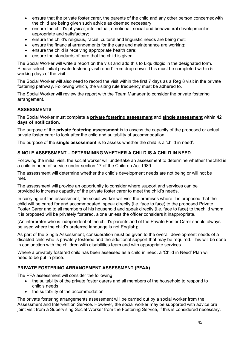- ensure that the private foster carer, the parents of the child and any other person concernedwith the child are being given such advice as deemed necessary
- ensure the child's physical, intellectual, emotional, social and behavioural development is appropriate and satisfactory;
- ensure the child's religious, racial, cultural and linguistic needs are being met;
- ensure the financial arrangements for the care and maintenance are working;
- ensure the child is receiving appropriate health care;
- ensure the standards of care that the child is given.

The Social Worker will write a report on the visit and add this to Liquidlogic in the designated form. Please select 'initial private fostering visit report' from drop down. This must be completed within 5 working days of the visit.

The Social Worker will also need to record the visit within the first 7 days as a Reg 8 visit in the private fostering pathway. Following which, the visiting rule frequency must be adhered to.

The Social Worker will review the report with the Team Manager to consider the private fostering arrangement.

# **ASSESSMENTS**

The Social Worker must complete a **private fostering assessment** and **single assessment** within **42 days of notification.**

The purpose of the **private fostering assessment** is to assess the capacity of the proposed or actual private foster carer to look after the child and suitability of accommodation.

The purpose of the **single assessment** is to assess whether the child is a 'child in need'.

# **SINGLE ASSESSMENT – DETERMINING WHETHER A CHILD IS A CHILD IN NEED**

Following the initial visit, the social worker will undertake an assessment to determine whether thechild is a child in need of service under section 17 of the Children Act 1989.

The assessment will determine whether the child's development needs are not being or will not be met.

The assessment will provide an opportunity to consider where support and services can be provided to increase capacity of the private foster carer to meet the child's needs.

In carrying out the assessment, the social worker will visit the premises where it is proposed that the child will be cared for and accommodated, speak directly (i.e. face to face) to the proposed Private Foster Carer and to all members of his household and speak directly (i.e. face to face) to thechild whom it is proposed will be privately fostered, alone unless the officer considers it inappropriate.

(An interpreter who is independent of the child's parents and of the Private Foster Carer should always be used where the child's preferred language is not English);

As part of the Single Assessment, consideration must be given to the overall development needs of a disabled child who is privately fostered and the additional support that may be required. This will be done in conjunction with the children with disabilities team and with appropriate services.

Where a privately fostered child has been assessed as a child in need, a 'Child in Need' Plan will need to be put in place.

# **PRIVATE FOSTERING ARRANGEMENT ASSESSMENT (PFAA)**

The PFA assessment will consider the following:

- the suitability of the private foster carers and all members of the household to respond to child's needs
- the suitability of the accommodation

The private fostering arrangements assessment will be carried out by a social worker from the Assessment and Intervention Service. However, the social worker may be supported with advice ora joint visit from a Supervising Social Worker from the Fostering Service, if this is considered necessary.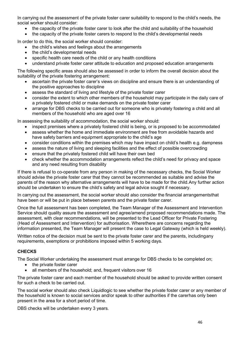In carrying out the assessment of the private foster carer suitability to respond to the child's needs, the social worker should consider:

- the capacity of the private foster carer to look after the child and suitability of the household
- the capacity of the private foster carers to respond to the child's developmental needs

In order to do this, the social worker should consider:

- the child's wishes and feelings about the arrangements
- the child's developmental needs
- specific health care needs of the child or any health conditions
- understand private foster carer attitude to education and proposed education arrangements

The following specific areas should also be assessed in order to inform the overall decision about the suitability of the private fostering arrangement:

- ascertain the private foster carer's views on discipline and ensure there is an understanding of the positive approaches to discipline
- assess the standard of living and lifestyle of the private foster carer
- consider the extent to which other members of the household may participate in the daily care of a privately fostered child or make demands on the private foster carer
- arrange for DBS checks to be carried out for someone who is privately fostering a child and all members of the household who are aged over 16

In assessing the suitability of accommodation, the social worker should:

- inspect premises where a privately fostered child is being, or is proposed to be accommodated
- assess whether the home and immediate environment are free from avoidable hazards and have safety barriers and equipment appropriate to the child's age
- consider conditions within the premises which may have impact on child's health e.g. dampness
- assess the nature of living and sleeping facilities and the effect of possible overcrowding
- ensure that the privately fostered child will have their own bed
- check whether the accommodation arrangements reflect the child's need for privacy and space and any need resulting from disability

If there is refusal to co-operate from any person in making of the necessary checks, the Social Worker should advise the private foster carer that they cannot be recommended as suitable and advise the parents of the reason why alternative arrangements will have to be made for the child.Any further action should be undertaken to ensure the child's safety and legal advice sought if necessary.

In carrying out the assessment, the social worker should also consider the financial arrangementsthat have been or will be put in place between parents and the private foster carer.

Once the full assessment has been completed, the Team Manager of the Assessment and Intervention Service should quality assure the assessment and agree/amend proposed recommendations made. The assessment, with clear recommendations, will be presented to the Lead Officer for Private Fostering (Head of Assessment and Intervention) for authorisation. Wherethere are concerns regarding the information presented, the Team Manager will present the case to Legal Gateway (which is held weekly).

Written notice of the decision must be sent to the private foster carer and the parents, includingany requirements, exemptions or prohibitions imposed within 5 working days.

# **CHECKS**

The Social Worker undertaking the assessment must arrange for DBS checks to be completed on;

- the private foster carer
- all members of the household; and, frequent visitors over 16

The private foster carer and each member of the household should be asked to provide written consent for such a check to be carried out.

The social worker should also check Liquidlogic to see whether the private foster carer or any member of the household is known to social services and/or speak to other authorities if the carerhas only been present in the area for a short period of time.

DBS checks will be undertaken every 3 years.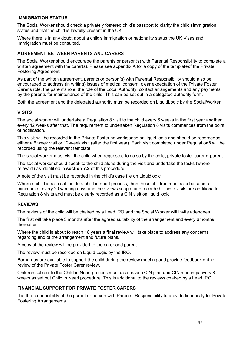# **IMMIGRATION STATUS**

The Social Worker should check a privately fostered child's passport to clarify the child'simmigration status and that the child is lawfully present in the UK.

Where there is in any doubt about a child's immigration or nationality status the [UK Visas and](https://www.gov.uk/government/organisations/uk-visas-and-immigration) [Immigration](https://www.gov.uk/government/organisations/uk-visas-and-immigration) must be consulted.

### **AGREEMENT BETWEEN PARENTS AND CARERS**

The Social Worker should encourage the parents or person(s) with Parental Responsibility to complete a written agreement with the carer(s). Please see appendix A for a copy of the templateof the Private Fostering Agreement.

As part of the written agreement, parents or person(s) with Parental Responsibility should also be encouraged to address (in writing) issues of medical consent, clear expectation of the Private Foster Carer's role, the parent's role, the role of the Local Authority, contact arrangements and any payments by the parents for maintenance of the child. This can be set out in a delegated authority form.

Both the agreement and the delegated authority must be recorded on LiquidLogic by the SocialWorker.

#### **VISITS**

The social worker will undertake a Regulation 8 visit to the child every 6 weeks in the first year andthen every 12 weeks after that. The requirement to undertaken Regulation 8 visits commences from the point of notification.

This visit will be recorded in the Private Fostering workspace on liquid logic and should be recordedas either a 6 week visit or 12-week visit (after the first year). Each visit completed under Regulation8 will be recorded using the relevant template.

The social worker must visit the child when requested to do so by the child, private foster carer orparent.

The social worker should speak to the child alone during the visit and undertake the tasks (where relevant) as identified in **section 7.2** of this procedure.

A note of the visit must be recorded in the child's case file on Liquidlogic.

Where a child is also subject to a child in need process, then those children must also be seen a minimum of every 20 working days and their views sought and recorded. These visits are additionalto Regulation 8 visits and must be clearly recorded as a CIN visit on liquid logic.

#### **REVIEWS**

The reviews of the child will be chaired by a Lead IRO and the Social Worker will invite attendees.

The first will take place 3 months after the agreed suitability of the arrangement and every 6 months thereafter.

Where the child is about to reach 16 years a final review will take place to address any concerns regarding end of the arrangement and future plans.

A copy of the review will be provided to the carer and parent.

The review must be recorded on Liquid Logic by the IRO.

Barnardos are available to support the child during the review meeting and provide feedback onthe review of the Private Foster Carer review.

Children subject to the Child in Need process must also have a CIN plan and CIN meetings every 8 weeks as set out Child in Need procedure. This is additional to the reviews chaired by a Lead IRO.

# **FINANCIAL SUPPORT FOR PRIVATE FOSTER CARERS**

It is the responsibility of the parent or person with Parental Responsibility to provide financially for Private Fostering Arrangements.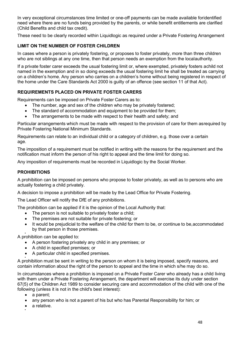In very exceptional circumstances time limited or one-off payments can be made available foridentified need where there are no funds being provided by the parents, or while benefit entitlements are clarified (Child Benefits and child tax credit).

These need to be clearly recorded within Liquidlogic as required under a Private Fostering Arrangement

# **LIMIT ON THE NUMBER OF FOSTER CHILDREN**

In cases where a person is privately fostering, or proposes to foster privately, more than three children who are not siblings at any one time, then that person needs an exemption from the localauthority.

If a private foster carer exceeds the usual fostering limit or, where exempted, privately fosters achild not named in the exemption and in so doing exceeds the usual fostering limit he shall be treated as carrying on a children's home. Any person who carries on a children's home without being registered in respect of the home under the Care Standards Act 2000 is guilty of an offence (see section 11 of that Act).

# **REQUIREMENTS PLACED ON PRIVATE FOSTER CARERS**

Requirements can be imposed on Private Foster Carers as to:

- The number, age and sex of the children who may be privately fostered;
- The standard of accommodation and equipment to be provided for them;
- The arrangements to be made with respect to their health and safety; and

Particular arrangements which must be made with respect to the provision of care for them asrequired by Private Fostering National Minimum Standards.

Requirements can relate to an individual child or a category of children, e.g. those over a certain age.

The imposition of a requirement must be notified in writing with the reasons for the requirement and the notification must inform the person of his right to appeal and the time limit for doing so.

Any imposition of requirements must be recorded in Liquidlogic by the Social Worker.

# **PROHIBITIONS**

A prohibition can be imposed on persons who propose to foster privately, as well as to persons who are actually fostering a child privately.

A decision to impose a prohibition will be made by the Lead Office for Private Fostering.

The Lead Officer will notify the DfE of any prohibitions.

- The prohibition can be applied if it is the opinion of the Local Authority that:
	- The person is not suitable to privately foster a child;
	- The premises are not suitable for private fostering; or
	- It would be prejudicial to the welfare of the child for them to be, or continue to be, accommodated by that person in those premises.

• A prohibition can be applied to:

- A person fostering privately any child in any premises; or
- A child in specified premises; or
- A particular child in specified premises.

• A prohibition must be sent in writing to the person on whom it is being imposed, specify reasons, and contain information about the right of the person to appeal and the time in which s/he may do so.

In circumstances where a prohibition is imposed on a Private Foster Carer who already has a child living with them under a Private Fostering Arrangement, the department will exercise its duty under section 67(5) of the Children Act 1989 to consider securing care and accommodation of the child with one of the following (unless it is not in the child's best interest):

- a parent;
- any person who is not a parent of his but who has Parental Responsibility for him; or
- a relative. •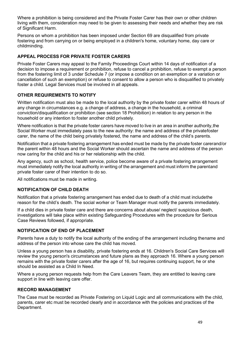Where a prohibition is being considered and the Private Foster Carer has their own or other children living with them, consideration may need to be given to assessing their needs and whether they are risk of [Significant](http://trixresources.proceduresonline.com/nat_key/keywords/significant_harm.html) Harm.

Persons on whom a prohibition has been imposed under Section 69 are disqualified from private fostering and from carrying on or being employed in a children's home, voluntary home, day care or childminding.

# **APPEAL PROCESS FOR PRIVATE FOSTER CARERS**

Private Foster Carers may appeal to the Family Proceedings Court within 14 days of notification of a decision to impose a requirement or prohibition, refuse to cancel a prohibition, refuse to exempt a person from the fostering limit of 3 under Schedule 7 (or impose a condition on an exemption or a variation or cancellation of such an exemption) or refuse to consent to allow a person who is disqualified to privately foster a child. Legal Services must be involved in all appeals.

# **OTHER REQUIREMENTS TO NOTIFY**

Written notification must also be made to the local authority by the private foster carer within 48 hours of any change in circumstances e.g. a change of address, a change in the household, a criminal conviction/disqualification or prohibition (see section 18 Prohibition) in relation to any person in the household or any intention to foster another child privately.

Where notification is that the private foster carers have moved to live in an area in another authority, the Social Worker must immediately pass to the new authority: the name and address of the privatefoster carer, the name of the child being privately fostered, the name and address of the child's parents.

Notification that a private fostering arrangement has ended must be made by the private foster carerand/or the parent within 48 hours and the Social Worker should ascertain the name and address of the person now caring for the child and his or her relationship with the child.

Any agency, such as school, health service, police become aware of a private fostering arrangement must immediately notify the local authority in writing of the arrangement and must inform the parentand private foster carer of their intention to do so.

All notifications must be made in writing.

# **NOTIFICATION OF CHILD DEATH**

Notification that a private fostering arrangement has ended due to death of a child must includethe reason for the child's death. The social worker or Team Manager must notify the parents immediately.

If a child dies in private foster care and there are concerns about abuse/ neglect/ suspicious death, investigations will take place within existing Safeguarding Procedures with the procedure for [Serious](http://trixresources.proceduresonline.com/nat_key/keywords/serious_case_review.html) Case [Reviews](http://trixresources.proceduresonline.com/nat_key/keywords/serious_case_review.html) followed, if appropriate.

# **NOTIFICATION OF END OF PLACEMENT**

Parents have a duty to notify the local authority of the ending of the arrangement including thename and address of the person into whose care the child has moved.

Unless a young person has a disability, private fostering ends at 16. Children's Social Care Services will review the young person's circumstances and future plans as they approach 16. Where a young person remains with the private foster carers after the age of 16, but requires continuing support, he or she should be assisted as a Child In Need.

Where a young person requests help from the Care Leavers Team, they are entitled to leaving care support in line with leaving care offer.

# **RECORD MANAGEMENT**

The Case must be recorded as Private Fostering on Liquid Logic and all communications with the child, parents, carer etc must be recorded clearly and in accordance with the policies and practices of the Department.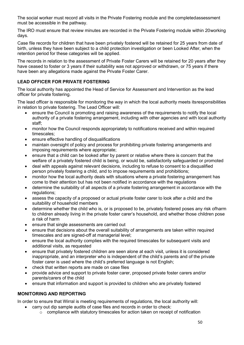The social worker must record all visits in the Private Fostering module and the completedassessment must be accessible in the pathway.

The IRO must ensure that review minutes are recorded in the Private Fostering module within 20working days.

Case file records for children that have been privately fostered will be retained for 25 years from date of birth, unless they have been subject to a child protection investigation or been Looked After, when the retention period for these categories will be applied.

The records in relation to the assessment of Private Foster Carers will be retained for 20 years after they have ceased to foster or 3 years if their suitability was not approved or withdrawn, or 75 years if there have been any allegations made against the Private Foster Carer.

# **LEAD OFFICER FOR PRIVATE FOSTERING**

The local authority has appointed the Head of Service for Assessment and Intervention as the lead officer for private fostering.

The lead officer is responsible for monitoring the way in which the local authority meets itsresponsibilities in relation to private fostering. The Lead Officer will:

- ensure the Council is promoting and raising awareness of the requirements to notify the local authority of a private fostering arrangement, including with other agencies and with local authority staff;
- monitor how the Council responds appropriately to notifications received and within required timescales;
- ensure effective handling of disqualifications
- maintain oversight of policy and process for prohibiting private fostering arrangements and imposing requirements where appropriate;
- ensure that a child can be looked after by parent or relative where there is concern that the welfare of a privately fostered child is being, or would be, satisfactorily safeguarded or promoted
- deal with appeals against relevant decisions, including to refuse to consent to a disqualified person privately fostering a child, and to impose requirements and prohibitions;
- monitor how the local authority deals with situations where a private fostering arrangement has come to their attention but has not been notified in accordance with the regulations
- determine the suitability of all aspects of a private fostering arrangement in accordance with the regulations;
- assess the capacity of a proposed or actual private foster carer to look after a child and the suitability of household members
- determine whether the child who is, or is proposed to be, privately fostered poses any risk ofharm to children already living in the private foster carer's household, and whether those children pose a risk of harm
- ensure that single assessments are carried out
- ensure that decisions about the overall suitability of arrangements are taken within required timescales and are signed-off at managerial level;
- ensure the local authority complies with the required timescales for subsequent visits and additional visits, as requested
- ensure that privately fostered children are seen alone at each visit, unless it is considered inappropriate, and an interpreter who is independent of the child's parents and of the private foster carer is used where the child's preferred language is not English;
- check that written reports are made on case files
- provide advice and support to private foster carer, proposed private foster carers and/or parents/carers of the child
- ensure that information and support is provided to children who are privately fostered

# **MONITORING AND REPORTING**

In order to ensure that Wirral is meeting requirements of regulations, the local authority will:

- carry out dip sample audits of case files and records in order to check:
	- $\circ$  compliance with statutory timescales for action taken on receipt of notification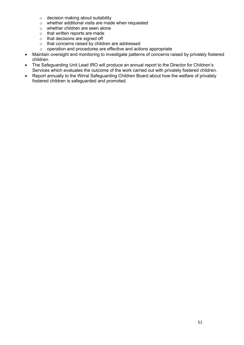- o decision making about suitability
- o whether additional visits are made when requested
- o whether children are seen alone
- o that written reports are made
- o that decisions are signed off
- o that concerns raised by children are addressed
- o operation and procedures are effective and actions appropriate
- Maintain oversight and monitoring to investigate patterns of concerns raised by privately fostered children.
- The Safeguarding Unit Lead IRO will produce an annual report to the Director for Children's Services which evaluates the outcome of the work carried out with privately fostered children.
- Report annually to the Wirral Safeguarding Children Board about how the welfare of privately fostered children is safeguarded and promoted.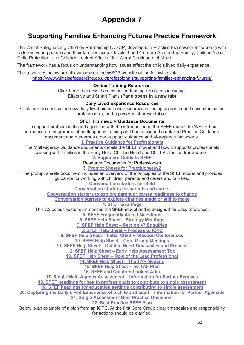# **Appendix 7**

# **Supporting Families Enhancing Futures Practice Framework**

The Wirral Safeguarding Children Partnership (WSCP) developed a Practice Framework for working with children, young people and their families across levels 3 and 4 (Team Around the Family, Child in Need, Child Protection, and Children Looked After) of the Wirral Continuum of Need.

The framework has a focus on understanding how issues affect the child's lived daily experience.

The resources below are all available on the WSCP website at the following link: <https://www.wirralsafeguarding.co.uk/professionals/supporting-families-enhancing-futures/>

# **Online Training Resources**

Click here [to access the](https://www.wirralsafeguarding.co.uk/sfef-online-training-resources/) new online training resources including: [Effective](https://www.wirralsafeguarding.co.uk/sfef-online-training-resources/) and Smart Plans **(Page opens in a new tab)**

# **Daily Lived Experience Resources**

Click **[here](https://www.wirralsafeguarding.co.uk/sfef-daily-lived-experience/)** to access the new daily lived experience resources including guidance and case studies for professionals, and a powerpoint presentation.

# **SFEF Framework Guidance Documents**

To support professionals and agencies with the introduction of the SFEF model the WSCP has introduced a programme of multi-agency training and has published a detailed Practice Guidance document and numerous other support, guidance and at-a-glance factsheets.

# **1. Practice Guidance for [Professionals](https://www.wirralsafeguarding.co.uk/wp-content/uploads/2016/05/SFEF-Multi-agency-Guidance.pdf)**

The Multi-agency Guidance documents details the SFEF model and how it supports professionals working with families in the Early Help, Child in Need and Child Protection frameworks.

**2. [Beginners](https://www.wirralsafeguarding.co.uk/wp-content/uploads/2016/05/The-Beginners-Guide-to-SFEF-A4-booklet.pdf) Guide to SFEF**

Resource Documents for Professionals

3. **Prompt Sheets for [Practitionersv2](https://www.wirralsafeguarding.co.uk/wp-content/uploads/2019/06/Prompt-Sheets-for-Practitionersv2.pdf)**

The prompt sheets document includes an overview of the principles of the SFEF model and provides guidance for working with children, parents and carers and families.

**[Conversation](https://www.wirralsafeguarding.co.uk/wp-content/uploads/2020/04/Conversation-starters-for-child.pdf) starters for child**

**[Conversation](https://www.wirralsafeguarding.co.uk/wp-content/uploads/2020/04/Conversation-starters-for-parents-and-carers.pdf) starters for parents and carers**

**[Conversation](https://www.wirralsafeguarding.co.uk/wp-content/uploads/2020/04/Conversation-starters-to-explore-parent-or-carers-readiness-to-change.pdf) starters to explore parent or carers readiness to change**

**[Conversation](https://www.wirralsafeguarding.co.uk/wp-content/uploads/2020/04/Conversation-starters-to-explore-changes-made-or-still-to-make.pdf) starters to explore changes made or still to make**

**4. SFEF [on a Page](https://www.wirralsafeguarding.co.uk/wp-content/uploads/2016/05/SFEF-on-a-Page-1.pdf)**

This A3 colour poster summarises the SFEF model and is designed for easy reference.

**5. SFEF [Frequently](https://www.wirralsafeguarding.co.uk/wp-content/uploads/2016/05/SFEF-Frequently-Asked-Questions.pdf) Asked Questions**

**6. SFEF Help [Sheet – Strategy](https://www.wirralsafeguarding.co.uk/wp-content/uploads/2016/05/SFEF-Help-Sheet-Strategy-Meetings.pdf) Meetings**

**7. SFEF Help [Sheet – Section](https://www.wirralsafeguarding.co.uk/wp-content/uploads/2016/05/SFEF-Help-Sheet-Section-47-Enquiries.pdf) 47 Enquiries**

**8. SFEF Help [Sheet – Process](https://www.wirralsafeguarding.co.uk/wp-content/uploads/2016/05/SFEF-Help-Sheet-Process-to-ICPC.pdf) to ICPC**

**9. SFEF Help [Sheet – Initial](https://www.wirralsafeguarding.co.uk/wp-content/uploads/2016/05/SFEF-Help-Sheet-Initial-Child-Protection-Conferences.pdf) Child Protection Conferences**

**10. SFEF Help [Sheet – Core](https://www.wirralsafeguarding.co.uk/wp-content/uploads/2016/05/SFEF-Help-Sheet-Core-Group-Meetings.pdf) Group Meetings**

**11. SFEF Help [Sheet – Child](https://www.wirralsafeguarding.co.uk/wp-content/uploads/2016/05/SFEF-Help-Sheet-Child-in-Need-Timescales-and-Process.pdf) in Need Timescales and Process**

**12. SFEF Help Sheet – Early [Help Assessment](https://www.wirralsafeguarding.co.uk/wp-content/uploads/2016/05/SFEF-Help-Sheet-Early-Help-Assessment-Tool.pdf) Tool**

**13. SFEF Help Sheet – Role of the Lead [Professional](https://www.wirralsafeguarding.co.uk/wp-content/uploads/2016/05/SFEF-Help-Sheet-Role-of-the-Lead-Professional.pdf)**

**14. SFEF Help [Sheet – The](https://www.wirralsafeguarding.co.uk/wp-content/uploads/2016/05/SFEF-Help-Sheet-The-TAF-Meeting.pdf) TAF Meeting**

**15. SFEF Help [Sheet -The](https://www.wirralsafeguarding.co.uk/wp-content/uploads/2016/05/SFEF-Help-Sheet-The-TAF-Plan.pdf) TAF Plan**

**16. SFEF and [Children](https://www.wirralsafeguarding.co.uk/wp-content/uploads/2018/05/SFEF-and-Children-Looked-After.pdf) Looked After**

**17. Single Multi-Agency [Assessment – Information](https://www.wirralsafeguarding.co.uk/wp-content/uploads/2019/01/Single-Multi-Agency-Assessment-Information-for-Partner-Services-1.docx) for Partner Services**

**18. SFEF headings for health [professionals](https://www.wirralsafeguarding.co.uk/wp-content/uploads/2020/01/Protected-Template-for-information-required-from-health-professionals-for-single-multi-003.docx) to contribute to single assessment**

**19. SFEF headings for education settings [contributing](https://www.wirralsafeguarding.co.uk/wp-content/uploads/2020/07/Protected-Information-required-from-professionals-in-education-for-a-single-multi-agency-assessment-v2-003-002.docx) to single assessment**

**20. Capturing the Daily Lived Experience of a child and [adult – Information](https://www.wirralsafeguarding.co.uk/wp-content/uploads/2019/01/Capturing-the-Daily-Lived-Experience-of-a-child-and-adult-Information-for-Partner-Agencies-1.docx) for Partner Agencies**

**21. Single [Assessment](https://www.wirralsafeguarding.co.uk/wp-content/uploads/2019/03/assessment-good-practice.pdf) Best Practice Document**

**22. Best [Practice](https://www.wirralsafeguarding.co.uk/wp-content/uploads/2019/03/SFEF-Outline-Plan-good-practice.pdf) SFEF Plan**

Below is an example of a plan from an ICPC. At the first Core Group clear timescales and responsibility for actions should be clarified.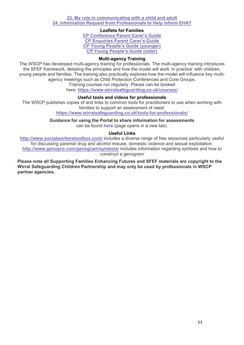**23. My [role in communicating](https://www.wirralsafeguarding.co.uk/wp-content/uploads/2019/06/My-role-in-communicating-with-a-child-and-adult.pdf) with a child and adult 24. Information Request from [Professionals](https://www.wirralsafeguarding.co.uk/wp-content/uploads/2020/07/Pro-Infor-EHAT-1.docx) to Help inform EHAT**

# **Leaflets for Families**

**CP [Conference](https://www.wirralsafeguarding.co.uk/wp-content/uploads/2021/03/CP-Conference-Parent-Carers-Guide.pdf) Parent Carer's Guide CP [Enquiries](https://www.wirralsafeguarding.co.uk/wp-content/uploads/2021/03/CP-Enquiries-Parent-Carers-Guide-v2.pdf) Parent Carer's Guide CP Young People's Guide [\(younger\)](https://www.wirralsafeguarding.co.uk/wp-content/uploads/2021/03/CP-Young-Peoples-Guide-2.pdf) CP Young [People's](https://www.wirralsafeguarding.co.uk/wp-content/uploads/2021/03/CP-Young-Peoples-Guide.pdf) Guide (older)**

# **Multi-agency Training**

The WSCP has developed multi-agency training for professionals. The multi-agency training introduces the SFEF framework, detailing the principles and how the model will work 'in practice' with children, young people and families. The training also practically explores how the model will influence key multiagency meetings such as Child Protection Conferences and Core Groups. Training courses run regularly. Places can be booked

here: **<https://www.wirralsafeguarding.co.uk/courses/>**

# **Useful tools and videos for professionals**

The WSCP publishes copies of and links to common tools for practitioners to use when working with families to support an assessment of need:

**<https://www.wirralsafeguarding.co.uk/tools-for-professionals/>**

**Guidance for using the Portal to share information for assessments** can be found **[here](https://www.wirralsafeguarding.co.uk/using-the-portal-to-share-information-for-assessments/)** (page opens in a new tab).

# **Useful Links**

**<http://www.socialworkerstoolbox.com/>** includes a diverse range of free resources particularly useful for discussing parental drug and alcohol misuse, domestic violence and sexual exploitation. **<http://www.genopro.com/genogram/symbols/>** includes information regarding symbols and how to construct a genogram

**Please note all Supporting Families Enhancing Futures and SFEF materials are copyright to the Wirral Safeguarding Children Partnership and may only be used by professionals in WSCP partner agencies.**